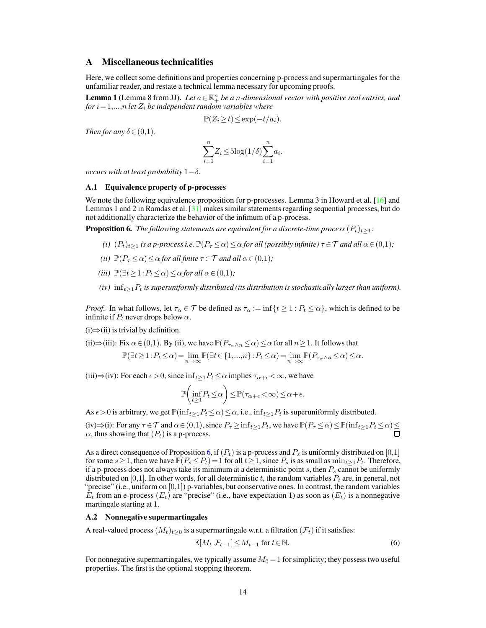### A Miscellaneous technicalities

Here, we collect some definitions and properties concerning p-process and supermartingales for the unfamiliar reader, and restate a technical lemma necessary for upcoming proofs.

<span id="page-0-1"></span>**Lemma 1** (Lemma 8 from JJ). Let  $a \in \mathbb{R}^n_+$  be a *n*-dimensional vector with positive real entries, and *for*  $i = 1,...,n$  *let*  $Z_i$  *be independent random variables where* 

$$
\mathbb{P}(Z_i \ge t) \le \exp(-t/a_i).
$$

*Then for any*  $\delta \in (0,1)$ *,* 

$$
\sum_{i=1}^{n} Z_i \le 5\log(1/\delta) \sum_{i=1}^{n} a_i.
$$

*occurs with at least probability*  $1-\delta$ .

#### A.1 Equivalence property of p-processes

We note the following equivalence proposition for p-processes. Lemma 3 in Howard et al. [\[16\]](#page--1-0) and Lemmas 1 and 2 in Ramdas et al.  $\lceil 31 \rceil$  makes similar statements regarding sequential processes, but do not additionally characterize the behavior of the infimum of a p-process.

**Proposition 6.** *The following statements are equivalent for a discrete-time process*  $(P_t)_{t\geq 1}$ *:* 

- *(i)*  $(P_t)_{t>1}$  *is a p-process i.e.*  $\mathbb{P}(P_{\tau} \leq \alpha) \leq \alpha$  *for all (possibly infinite)*  $\tau \in \mathcal{T}$  *and all*  $\alpha \in (0,1)$ *;*
- *(ii)*  $\mathbb{P}(P_{\tau} \leq \alpha) \leq \alpha$  for all finite  $\tau \in \mathcal{T}$  and all  $\alpha \in (0,1)$ ;
- *(iii)*  $\mathbb{P}(\exists t \geq 1 : P_t \leq \alpha) \leq \alpha$  *for all*  $\alpha \in (0,1)$ *;*
- <span id="page-0-0"></span>*(iv)*  $\inf_{t\geq 1} P_t$  *is superuniformly distributed (its distribution is stochastically larger than uniform).*

*Proof.* In what follows, let  $\tau_{\alpha} \in \mathcal{T}$  be defined as  $\tau_{\alpha} := \inf\{t \geq 1 : P_t \leq \alpha\}$ , which is defined to be infinite if  $P_t$  never drops below  $\alpha$ .

 $(i) \Rightarrow (ii)$  is trivial by definition.

(ii) 
$$
\Rightarrow
$$
 (iii): Fix  $\alpha \in (0,1)$ . By (ii), we have  $\mathbb{P}(P_{\tau_{\alpha} \wedge n} \le \alpha) \le \alpha$  for all  $n \ge 1$ . It follows that  

$$
\mathbb{P}(\exists t \ge 1 : P_t \le \alpha) = \lim_{n \to \infty} \mathbb{P}(\exists t \in \{1, ..., n\} : P_t \le \alpha) = \lim_{n \to \infty} \mathbb{P}(P_{\tau_{\alpha} \wedge n} \le \alpha) \le \alpha.
$$

(iii) $\Rightarrow$ (iv): For each  $\epsilon > 0$ , since  $\inf_{t>1} P_t \leq \alpha$  implies  $\tau_{\alpha+\epsilon} < \infty$ , we have

$$
\mathbb{P}\left(\inf_{t\geq 1} P_t \leq \alpha\right) \leq \mathbb{P}(\tau_{\alpha+\epsilon} < \infty) \leq \alpha+\epsilon.
$$

As  $\epsilon > 0$  is arbitrary, we get  $\mathbb{P}(\inf_{t>1} P_t \leq \alpha) \leq \alpha$ , i.e.,  $\inf_{t>1} P_t$  is superuniformly distributed.

(iv)⇒(i): For any  $\tau \in \mathcal{T}$  and  $\alpha \in (0,1)$ , since  $P_{\tau} \ge \inf_{t \ge 1} P_t$ , we have  $\mathbb{P}(P_{\tau} \le \alpha) \le \mathbb{P}(\inf_{t \ge 1} P_t \le \alpha) \le \square$  $\alpha$ , thus showing that  $(P_t)$  is a p-process.

As a direct consequence of Proposition [6,](#page-0-0) if  $(P_t)$  is a p-process and  $P_s$  is uniformly distributed on [0,1] for some  $s \geq 1$ , then we have  $\mathbb{P}(P_s \leq P_t) = 1$  for all  $t \geq 1$ , since  $P_s$  is as small as  $\min_{t \geq 1} P_t$ . Therefore, if a p-process does not always take its minimum at a deterministic point s, then  $P_s$  cannot be uniformly distributed on [0,1]. In other words, for all deterministic t, the random variables  $P_t$  are, in general, not "precise" (i.e., uniform on  $[0,1]$ ) p-variables, but conservative ones. In contrast, the random variables  $E_t$  from an e-process  $(E_t)$  are "precise" (i.e., have expectation 1) as soon as  $(E_t)$  is a nonnegative martingale starting at 1.

#### A.2 Nonnegative supermartingales

A real-valued process  $(M_t)_{t\geq 0}$  is a supermartingale w.r.t. a filtration  $(\mathcal{F}_t)$  if it satisfies:

<span id="page-0-2"></span>
$$
\mathbb{E}[M_t|\mathcal{F}_{t-1}] \le M_{t-1} \text{ for } t \in \mathbb{N}.\tag{6}
$$

For nonnegative supermartingales, we typically assume  $M_0 = 1$  for simplicity; they possess two useful properties. The first is the optional stopping theorem.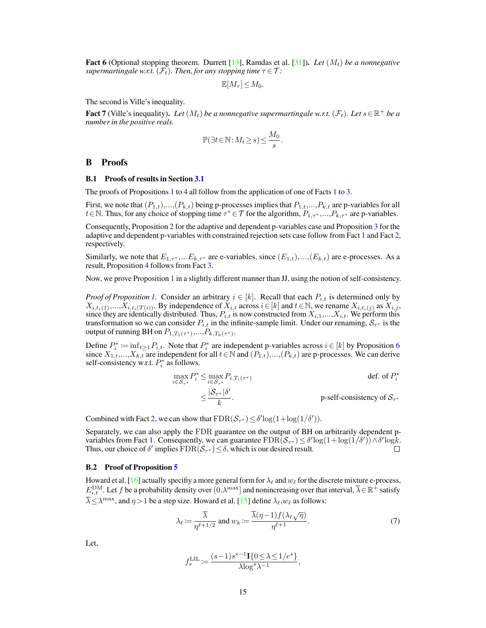**Fact 6** (Optional stopping theorem. Durrett [\[13\]](#page--1-2), Ramdas et al. [\[31\]](#page--1-1)). Let  $(M_t)$  be a nonnegative *supermartingale w.r.t.*  $(\mathcal{F}_t)$ *. Then, for any stopping time*  $\tau \in \mathcal{T}$ *:* 

 $\mathbb{E}[M_{\tau}] \leq M_0.$ 

The second is Ville's inequality.

**Fact 7** (Ville's inequality). Let  $(M_t)$  be a nonnegative supermartingale w.r.t.  $(\mathcal{F}_t)$ . Let  $s \in \mathbb{R}^+$  be a *number in the positive reals.*

$$
\mathbb{P}(\exists t\!\in\!\mathbb{N}\!:\!M_t\!\geq\!s)\!\leq\!\frac{M_0}{s}.
$$

#### B Proofs

#### B.1 Proofs of results in Section [3.1](#page--1-3)

The proofs of Propositions [1](#page--1-6) to [4](#page--1-5) all follow from the application of one of Facts 1 to [3.](#page--1-7)

First, we note that  $(P_{1,t})$ ,...,  $(P_{k,t})$  being p-processes implies that  $P_{1,t}$ ,...,  $P_{k,t}$  are p-variables for all  $t \in \mathbb{N}$ . Thus, for any choice of stopping time  $\tau^* \in \mathcal{T}$  for the algorithm,  $P_{1,\tau^*},...,P_{k,\tau^*}$  are p-variables.

Consequently, Proposition [2](#page--1-8) for the adaptive and dependent p-variables case and Proposition [3](#page--1-9) for the adaptive and dependent p-variables with constrained rejection sets case follow from Fact [1](#page--1-6) and Fact [2,](#page--1-10) respectively.

Similarly, we note that  $E_{1,\tau^*}$ ,...,  $E_{k,\tau^*}$  are e-variables, since  $(E_{1,t})$ ,...,  $(E_{k,t})$  are e-processes. As a result, Proposition [4](#page--1-5) follows from Fact [3.](#page--1-7)

Now, we prove Proposition [1](#page--1-4) in a slightly different manner than JJ, using the notion of self-consistency.

*Proof of Proposition [1.](#page--1-4)* Consider an arbitrary  $i \in [k]$ . Recall that each  $P_{i,t}$  is determined only by  $X_{i,t_i(1)},...,X_{i,t_i(T(i))}$ . By independence of  $X_{i,t}$  across  $i \in [k]$  and  $t \in \mathbb{N}$ , we rename  $X_{i,t_i(j)}$  as  $X_{i,j}$ , since they are identically distributed. Thus,  $P_{i,t}$  is now constructed from  $X_{i,1},...,X_{i,t}$ . We perform this transformation so we can consider  $P_{i,t}$  in the infinite-sample limit. Under our renaming,  $S_{\tau^*}$  is the output of running BH on  $P_{1, T_1(\tau^*)},...,P_{k, T_k(\tau^*)}.$ 

Define  $P_i^* := \inf_{t \geq 1} P_{i,t}$ . Note that  $P_i^*$  are independent p-variables across  $i \in [k]$  by Proposition [6](#page-0-0) since  $X_{1,t},...,X_{k,t}$  are independent for all  $t \in \mathbb{N}$  and  $(P_{1,t}),..., (P_{k,t})$  are p-processes. We can derive self-consistency w.r.t.  $P_i^*$  as follows.

$$
\max_{i \in S_{\tau^*}} P_i^* \le \max_{i \in S_{\tau^*}} P_{i, T_i(\tau^*)}
$$
\n
$$
\le \frac{|S_{\tau^*}| \delta'}{k}.
$$
\n
$$
\le \frac{|S_{\tau^*}| \delta'}{k}.
$$
\np-self-consistency of  $S_{\tau^*}$ 

Combined with Fact [2,](#page--1-10) we can show that  $FDR(S_{\tau^*}) \leq \delta' \log(1 + \log(1/\delta'))$ .

Separately, we can also apply the FDR guarantee on the output of BH on arbitrarily dependent p-variables from Fact [1.](#page--1-6) Consequently, we can guarantee  $FDR(\mathcal{S}_{\tau^*}) \leq \delta' \log(1 + \log(1/\delta')) \wedge \delta' \log k$ . Thus, our choice of  $\delta'$  implies  $\text{FDR}(\mathcal{S}_{\tau^*}) \leq \delta$ , which is our desired result.  $\Box$ 

#### B.2 Proof of Proposition [5](#page--1-11)

Howard et al. [\[16\]](#page--1-0) actually specifiy a more general form for  $\lambda_\ell$  and  $w_\ell$  for the discrete mixture e-process,  $E_{i,t}^{\text{DM}}$ . Let f be a probability density over  $(0,\lambda^{\max}]$  and nonincreasing over that interval,  $\overline{\lambda} \in \mathbb{R}^+$  satisfy  $\overline{\lambda} \leq \lambda^{\max}$ , and  $\eta > 1$  be a step size. Howard et al. [\[15\]](#page--1-12) define  $\lambda_{\ell}, w_{\ell}$  as follows:

$$
\lambda_{\ell} := \frac{\overline{\lambda}}{\eta^{\ell+1/2}} \text{ and } w_k := \frac{\overline{\lambda}(\eta - 1)f(\lambda_{\ell}\sqrt{\eta})}{\eta^{\ell+1}}.
$$
\n<sup>(7)</sup>

,

Let,

$$
f_s^{\text{LIL}} := \frac{(s-1)s^{s-1}\mathbf{I}\{0 \le \lambda \le 1/e^s\}}{\lambda \log^s \lambda^{-1}}
$$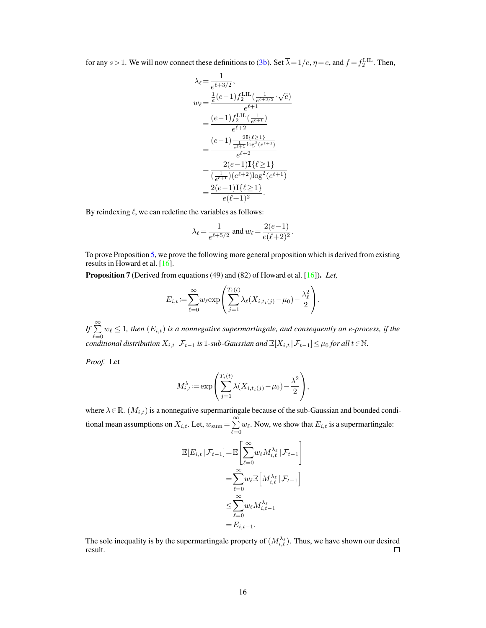for any  $s > 1$ . We will now connect these definitions to [\(3b\)](#page--1-13). Set  $\overline{\lambda} = 1/e$ ,  $\eta = e$ , and  $f = f_2^{\text{LLL}}$ . Then,

$$
\lambda_{\ell} = \frac{1}{e^{\ell+3/2}},
$$
\n
$$
w_{\ell} = \frac{\frac{1}{e} (e-1) f_2^{\text{LIL}}(\frac{1}{e^{\ell+3/2}} \cdot \sqrt{e})}{e^{\ell+1}}
$$
\n
$$
= \frac{(e-1) f_2^{\text{LIL}}(\frac{1}{e^{\ell+1}})}{e^{\ell+2}}
$$
\n
$$
= \frac{(e-1) \frac{2I\{\ell \geq 1\}}{e^{\ell+1} \log^2(e^{\ell+1})}}{e^{\ell+2}}
$$
\n
$$
= \frac{2(e-1) \text{I}\{\ell \geq 1\}}{(\frac{1}{e^{\ell+1}})(e^{\ell+2}) \log^2(e^{\ell+1})}
$$
\n
$$
= \frac{2(e-1) \text{I}\{\ell \geq 1\}}{e(\ell+1)^2}.
$$

By reindexing  $\ell$ , we can redefine the variables as follows:

$$
\lambda_{\ell} = \frac{1}{e^{\ell+5/2}}
$$
 and  $w_{\ell} = \frac{2(e-1)}{e(\ell+2)^2}$ .

To prove Proposition [5,](#page--1-11) we prove the following more general proposition which is derived from existing results in Howard et al. [\[16\]](#page--1-0).

<span id="page-2-0"></span>Proposition 7 (Derived from equations (49) and (82) of Howard et al. [\[16\]](#page--1-0)). *Let,*

$$
E_{i,t} := \sum_{\ell=0}^{\infty} w_{\ell} \exp\left(\sum_{j=1}^{T_i(t)} \lambda_{\ell}(X_{i,t_i(j)} - \mu_0) - \frac{\lambda_{\ell}^2}{2}\right).
$$

*If* ∑︀<sup>∞</sup>  $\sum_{\ell=0} w_{\ell} \leq 1$ , then  $(E_{i,t})$  is a nonnegative supermartingale, and consequently an e-process, if the *conditional distribution*  $X_{i,t} | \mathcal{F}_{t-1}$  *is* 1*-sub-Gaussian and*  $\mathbb{E}[X_{i,t} | \mathcal{F}_{t-1}] \leq \mu_0$  for all  $t \in \mathbb{N}$ .

*Proof.* Let

$$
M_{i,t}^{\lambda} := \exp\left(\sum_{j=1}^{T_i(t)} \lambda(X_{i,t_i(j)} - \mu_0) - \frac{\lambda^2}{2}\right),\,
$$

where  $\lambda \in \mathbb{R}$ .  $(M_{i,t})$  is a nonnegative supermartingale because of the sub-Gaussian and bounded conditional mean assumptions on  $X_{i,t}$ . Let,  $w_{\text{sum}} = \sum_{i=1}^{\infty}$  $\sum_{\ell=0} w_{\ell}$ . Now, we show that  $E_{i,t}$  is a supermartingale:

$$
\mathbb{E}[E_{i,t} | \mathcal{F}_{t-1}] = \mathbb{E}\left[\sum_{\ell=0}^{\infty} w_{\ell} M_{i,t}^{\lambda_{\ell}} | \mathcal{F}_{t-1}\right]
$$

$$
= \sum_{\ell=0}^{\infty} w_{\ell} \mathbb{E}\left[M_{i,t}^{\lambda_{\ell}} | \mathcal{F}_{t-1}\right]
$$

$$
\leq \sum_{\ell=0}^{\infty} w_{\ell} M_{i,t-1}^{\lambda_{\ell}}
$$

$$
= E_{i,t-1}.
$$

The sole inequality is by the supermartingale property of  $(M_{i,t}^{\lambda_{\ell}})$ . Thus, we have shown our desired result.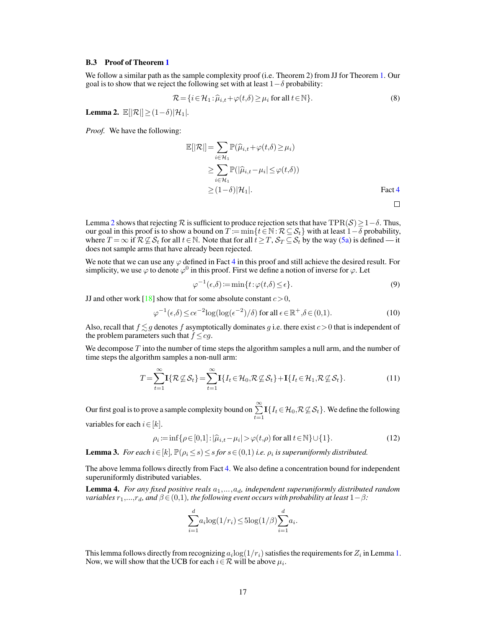#### B.3 Proof of Theorem [1](#page--1-14)

We follow a similar path as the sample complexity proof (i.e. Theorem 2) from JJ for Theorem [1.](#page--1-14) Our goal is to show that we reject the following set with at least  $1-\delta$  probability:

$$
\mathcal{R} = \{ i \in \mathcal{H}_1 : \widehat{\mu}_{i,t} + \varphi(t,\delta) \ge \mu_i \text{ for all } t \in \mathbb{N} \}. \tag{8}
$$

<span id="page-3-0"></span>**Lemma 2.**  $\mathbb{E}[|\mathcal{R}|] \geq (1-\delta)|\mathcal{H}_1|$ .

*Proof.* We have the following:

$$
\mathbb{E}[|\mathcal{R}|] = \sum_{i \in \mathcal{H}_1} \mathbb{P}(\widehat{\mu}_{i,t} + \varphi(t,\delta) \ge \mu_i)
$$
  
\n
$$
\ge \sum_{i \in \mathcal{H}_1} \mathbb{P}(|\widehat{\mu}_{i,t} - \mu_i| \le \varphi(t,\delta))
$$
  
\n
$$
\ge (1-\delta)|\mathcal{H}_1|.
$$
 Fact 4

Lemma [2](#page-3-0) shows that rejecting  $\mathcal R$  is sufficient to produce rejection sets that have TPR( $\mathcal S$ ) ≥ 1 –  $\delta$ . Thus, our goal in this proof is to show a bound on  $T := \min\{t \in \mathbb{N} : \mathcal{R} \subseteq \mathcal{S}_t\}$  with at least  $1-\delta$  probability, where  $T = \infty$  if  $\mathcal{R} \not\subseteq \mathcal{S}_t$  for all  $t \in \mathbb{N}$ . Note that for all  $t \geq T$ ,  $\mathcal{S}_T \subseteq \mathcal{S}_t$  by the way [\(5a\)](#page--1-16) is defined — it does not sample arms that have already been rejected.

We note that we can use any  $\varphi$  defined in Fact [4](#page--1-15) in this proof and still achieve the desired result. For simplicity, we use  $\varphi$  to denote  $\varphi^0$  in this proof. First we define a notion of inverse for  $\varphi$ . Let

$$
\varphi^{-1}(\epsilon,\delta) := \min\{t : \varphi(t,\delta) \le \epsilon\}.
$$
\n(9)

JJ and other work [\[18\]](#page--1-17) show that for some absolute constant  $c > 0$ ,

$$
\varphi^{-1}(\epsilon,\delta) \le c\epsilon^{-2} \log(\log(\epsilon^{-2})/\delta) \text{ for all } \epsilon \in \mathbb{R}^+, \delta \in (0,1). \tag{10}
$$

Also, recall that  $f \lesssim g$  denotes f asymptotically dominates g i.e. there exist  $c > 0$  that is independent of the problem parameters such that  $f \le cg$ .

We decompose  $T$  into the number of time steps the algorithm samples a null arm, and the number of time steps the algorithm samples a non-null arm:

$$
T = \sum_{t=1}^{\infty} \mathbf{I}\{\mathcal{R}\mathcal{L}\mathcal{S}_t\} = \sum_{t=1}^{\infty} \mathbf{I}\{I_t \in \mathcal{H}_0, \mathcal{R}\mathcal{L}\mathcal{S}_t\} + \mathbf{I}\{I_t \in \mathcal{H}_1, \mathcal{R}\mathcal{L}\mathcal{S}_t\}.
$$
 (11)

Our first goal is to prove a sample complexity bound on  $\sum_{t=1}^{\infty} \mathbf{I}\{I_t \in \mathcal{H}_0, \mathcal{R} \not\subseteq \mathcal{S}_t\}$ . We define the following

variables for each  $i \in [k]$ .

$$
\rho_i := \inf \{ \rho \in [0,1] : |\widehat{\mu}_{i,t} - \mu_i| > \varphi(t,\rho) \text{ for all } t \in \mathbb{N} \} \cup \{1\}. \tag{12}
$$

<span id="page-3-2"></span>**Lemma 3.** For each  $i \in [k]$ ,  $\mathbb{P}(\rho_i \leq s) \leq s$  for  $s \in (0,1)$  *i.e.*  $\rho_i$  *is superuniformly distributed.* 

The above lemma follows directly from Fact [4.](#page--1-15) We also define a concentration bound for independent superuniformly distributed variables.

<span id="page-3-3"></span>**Lemma 4.** *For any fixed positive reals*  $a_1, \ldots, a_d$ , independent superuniformly distributed random *variables*  $r_1,...,r_d$ *, and*  $\beta \in (0,1)$ *, the following event occurs with probability at least*  $1-\beta$ *:* 

$$
\sum_{i=1}^{d} a_i \log(1/r_i) \le 5 \log(1/\beta) \sum_{i=1}^{d} a_i.
$$

<span id="page-3-1"></span>This lemma follows directly from recognizing  $a_i \text{log}(1/r_i)$  satisfies the requirements for  $Z_i$  in Lemma [1.](#page-0-1) Now, we will show that the UCB for each  $i \in \mathcal{R}$  will be above  $\mu_i$ .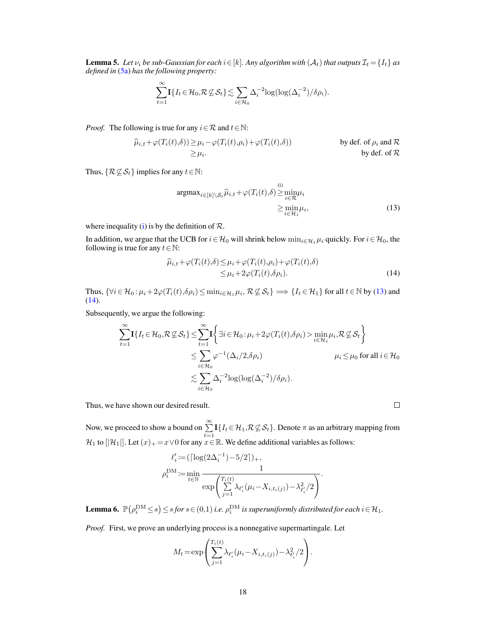**Lemma 5.** Let  $\nu_i$  be sub-Gaussian for each  $i \in [k]$ . Any algorithm with  $(A_t)$  that outputs  $\mathcal{I}_t = \{I_t\}$  as *defined in* [\(5a\)](#page--1-16) *has the following property:*

$$
\sum_{t=1}^{\infty} \mathbf{I} \{ I_t \in \mathcal{H}_0, \mathcal{R} \nsubseteq \mathcal{S}_t \} \lesssim \sum_{i \in \mathcal{H}_0} \Delta_i^{-2} \log(\log(\Delta_i^{-2})/\delta \rho_i).
$$

*Proof.* The following is true for any  $i \in \mathcal{R}$  and  $t \in \mathbb{N}$ :

$$
\widehat{\mu}_{i,t} + \varphi(T_i(t),\delta)) \ge \mu_i - \varphi(T_i(t),\rho_i) + \varphi(T_i(t),\delta))
$$
 by def. of  $\rho_i$  and  $\mathcal{R}$   
\n $\ge \mu_i$ . by def. of  $\mathcal{R}$ 

Thus,  $\{ \mathcal{R} \not\subseteq \mathcal{S}_t \}$  implies for any  $t \in \mathbb{N}$ :

<span id="page-4-0"></span>
$$
\underset{i \in \mathcal{H}_1}{\operatorname{argmax}}_{i \in [k] \setminus \mathcal{S}_t} \widehat{\mu}_{i,t} + \varphi(T_i(t), \delta) \ge \min_{i \in \mathcal{R}} \mu_i
$$
\n
$$
\ge \min_{i \in \mathcal{H}_1} \mu_i,
$$
\n(13)

where inequality [\(i\)](#page-4-0) is by the definition of  $\mathcal{R}$ .

In addition, we argue that the UCB for  $i \in \mathcal{H}_0$  will shrink below  $\min_{i \in \mathcal{H}_1} \mu_i$  quickly. For  $i \in \mathcal{H}_0$ , the following is true for any  $t \in \mathbb{N}$ :

$$
\widehat{\mu}_{i,t} + \varphi(T_i(t), \delta) \le \mu_i + \varphi(T_i(t), \rho_i) + \varphi(T_i(t), \delta) \le \mu_i + 2\varphi(T_i(t), \delta\rho_i).
$$
\n(14)

Thus,  $\{\forall i \in \mathcal{H}_0 : \mu_i + 2\varphi(T_i(t), \delta \rho_i) \le \min_{i \in \mathcal{H}_1} \mu_i, \mathcal{R} \not\subseteq \mathcal{S}_t\} \Longrightarrow \{I_t \in \mathcal{H}_1\}$  for all  $t \in \mathbb{N}$  by [\(13\)](#page-4-1) and [\(14\)](#page-4-2).

Subsequently, we argue the following:

$$
\sum_{t=1}^{\infty} \mathbf{I} \{ I_t \in \mathcal{H}_0, \mathcal{R} \nsubseteq \mathcal{S}_t \} \leq \sum_{t=1}^{\infty} \mathbf{I} \left\{ \exists i \in \mathcal{H}_0 : \mu_i + 2\varphi(T_i(t), \delta \rho_i) > \min_{i \in \mathcal{H}_1} \mu_i, \mathcal{R} \nsubseteq \mathcal{S}_t \right\}
$$
\n
$$
\leq \sum_{i \in \mathcal{H}_0} \varphi^{-1} (\Delta_i / 2, \delta \rho_i) \qquad \mu_i \leq \mu_0 \text{ for all } i \in \mathcal{H}_0
$$
\n
$$
\lesssim \sum_{i \in \mathcal{H}_0} \Delta_i^{-2} \log(\log(\Delta_i^{-2}) / \delta \rho_i).
$$

Thus, we have shown our desired result.

Now, we proceed to show a bound on  $\sum_{t=1}^{\infty} \mathbf{I}\{I_t \in \mathcal{H}_1, \mathcal{R} \not\subseteq \mathcal{S}_t\}$ . Denote  $\pi$  as an arbitrary mapping from  $\mathcal{H}_1$  to  $[|\mathcal{H}_1|]$ . Let  $(x)_+ = x \vee 0$  for any  $x \in \mathbb{R}$ . We define additional variables as follows:

$$
\ell_i' := (\lceil \log(2\Delta_i^{-1}) - 5/2 \rceil)_+,
$$
  
\n
$$
\rho_i^{DM} := \min_{t \in \mathbb{N}} \frac{1}{\exp\left(\sum_{j=1}^{T_i(t)} \lambda_{\ell'_i}(\mu_i - X_{i, t_i(j)}) - \lambda_{\ell'_i}^2/2\right)}.
$$

<span id="page-4-3"></span>**Lemma 6.**  $\mathbb{P}(\rho_i^{\text{DM}} \leq s) \leq s$  for  $s \in (0,1)$  i.e.  $\rho_i^{\text{DM}}$  is superuniformly distributed for each  $i \in \mathcal{H}_1$ .

*Proof.* First, we prove an underlying process is a nonnegative supermartingale. Let

$$
M_{t} = \exp \left( \sum_{j=1}^{T_{i}(t)} \lambda_{\ell'_{i}}(\mu_{i} - X_{i,t_{i}(j)}) - \lambda_{\ell'_{i}}^{2}/2 \right).
$$

<span id="page-4-2"></span><span id="page-4-1"></span> $\Box$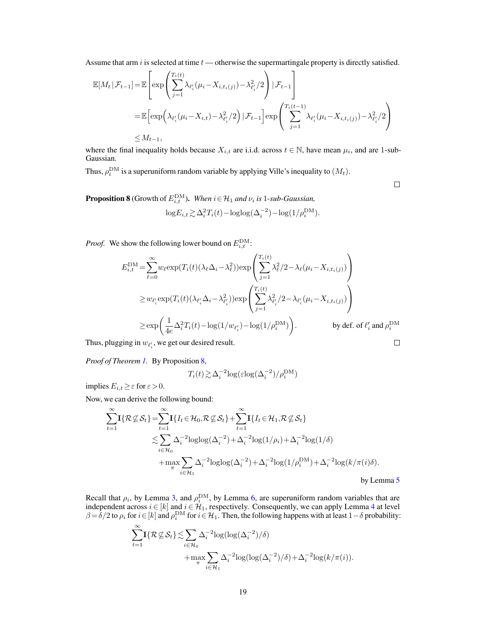Assume that arm  $i$  is selected at time  $t$  — otherwise the supermartingale property is directly satisfied.

$$
\mathbb{E}[M_t | \mathcal{F}_{t-1}] = \mathbb{E}\left[\exp\left(\sum_{j=1}^{T_i(t)} \lambda_{\ell'_i}(\mu_i - X_{i,t_i(j)}) - \lambda_{\ell'_i}^2/2\right) | \mathcal{F}_{t-1}\right]
$$
  
\n
$$
= \mathbb{E}\left[\exp\left(\lambda_{\ell'_i}(\mu_i - X_{i,t}) - \lambda_{\ell'_i}^2/2\right) | \mathcal{F}_{t-1}\right] \exp\left(\sum_{j=1}^{T_i(t-1)} \lambda_{\ell'_i}(\mu_i - X_{i,t_i(j)}) - \lambda_{\ell'_i}^2/2\right)
$$
  
\n
$$
\leq M_{t-1},
$$

where the final inequality holds because  $X_{i,t}$  are i.i.d. across  $t \in \mathbb{N}$ , have mean  $\mu_i$ , and are 1-sub-Gaussian.

Thus,  $\rho_i^{\text{DM}}$  is a superuniform random variable by applying Ville's inequality to  $(M_t)$ .

 $\Box$ 

<span id="page-5-0"></span>**Proposition 8** (Growth of  $E_{i,t}^{\text{DM}}$ ). *When*  $i \in \mathcal{H}_1$  and  $\nu_i$  is 1-sub-Gaussian,

$$
\log E_{i,t} \gtrsim \Delta_i^2 T_i(t) - \log \log(\Delta_i^{-2}) - \log(1/\rho_i^{\text{DM}}).
$$

*Proof.* We show the following lower bound on  $E_{i,t}^{\text{DM}}$ :

$$
E_{i,t}^{\text{DM}} = \sum_{\ell=0}^{\infty} w_{\ell} \exp(T_i(t)(\lambda_{\ell} \Delta_i - \lambda_{\ell}^2)) \exp\left(\sum_{j=1}^{T_i(t)} \lambda_{\ell}^2 / 2 - \lambda_{\ell}(\mu_i - X_{i,t_i(j)})\right)
$$
  
\n
$$
\geq w_{\ell_i'} \exp(T_i(t)(\lambda_{\ell_i'} \Delta_i - \lambda_{\ell_i'}^2)) \exp\left(\sum_{j=1}^{T_i(t)} \lambda_{\ell_i'}^2 / 2 - \lambda_{\ell_i'}(\mu_i - X_{i,t_i(j)})\right)
$$
  
\n
$$
\geq \exp\left(\frac{1}{4e} \Delta_i^2 T_i(t) - \log(1/w_{\ell_i'}) - \log(1/\rho_i^{\text{DM}})\right).
$$
 by def. of  $\ell_i'$  and  $\rho_i^{\text{DM}}$   
\n $\lim_{t \to \infty} w_{\ell_i}$ , we get our desired result.

Thus, plugging in  $w_{\ell'_i}$ , we get our desired result.

*Proof of Theorem [1.](#page--1-14)* By Proposition [8,](#page-5-0)

$$
T_i(t)\!\gtrsim\!\Delta_i^{-2}\!\log(\varepsilon\!\log(\Delta_i^{-2})/\rho_i^{\rm DM})
$$

implies  $E_{i,t} \geq \varepsilon$  for  $\varepsilon > 0$ .

Now, we can derive the following bound:

$$
\sum_{t=1}^{\infty} \mathbf{I}\{\mathcal{R}\subseteq\mathcal{S}_t\} = \sum_{t=1}^{\infty} \mathbf{I}\{I_t \in\mathcal{H}_0, \mathcal{R}\subseteq\mathcal{S}_t\} + \sum_{t=1}^{\infty} \mathbf{I}\{I_t \in\mathcal{H}_1, \mathcal{R}\subseteq\mathcal{S}_t\}
$$
\n
$$
\lesssim \sum_{i\in\mathcal{H}_0} \Delta_i^{-2} \log \log(\Delta_i^{-2}) + \Delta_i^{-2} \log(1/\rho_i) + \Delta_i^{-2} \log(1/\delta)
$$
\n
$$
+ \max_{\pi} \sum_{i\in\mathcal{H}_1} \Delta_i^{-2} \log \log(\Delta_i^{-2}) + \Delta_i^{-2} \log(1/\rho_i^{\text{DM}}) + \Delta_i^{-2} \log(k/\pi(i)\delta).
$$
\nby Lemma 5

Recall that  $\rho_i$ , by Lemma [3,](#page-3-2) and  $\rho_i^{\text{DM}}$ , by Lemma [6,](#page-4-3) are superuniform random variables that are independent across  $i \in [k]$  and  $i \in \mathcal{H}_1$ , respectively. Consequently, we can apply Lemma [4](#page-3-3) at level  $\beta = \delta/2$  to  $\rho_i$  for  $i \in [k]$  and  $\rho_i^{\text{DM}}$  for  $i \in \mathcal{H}_1$ . Then, the following happens with at least  $1-\delta$  probability:

$$
\sum_{t=1}^{\infty} \mathbf{I}\{\mathcal{R}\mathcal{L}\mathcal{S}_t\} \lesssim \sum_{i \in \mathcal{H}_0} \Delta_i^{-2} \log(\log(\Delta_i^{-2})/\delta) + \max_{\pi} \sum_{i \in \mathcal{H}_1} \Delta_i^{-2} \log(\log(\Delta_i^{-2})/\delta) + \Delta_i^{-2} \log(k/\pi(i)).
$$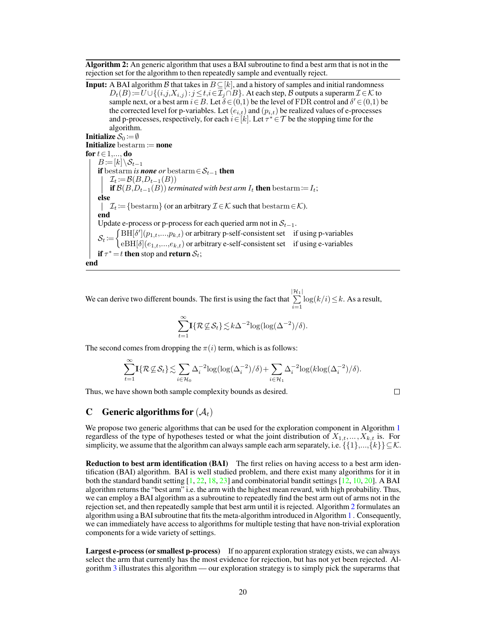Algorithm 2: An generic algorithm that uses a BAI subroutine to find a best arm that is not in the rejection set for the algorithm to then repeatedly sample and eventually reject.

<span id="page-6-0"></span>**Input:** A BAI algorithm B that takes in  $B \subseteq [k]$ , and a history of samples and initial randomness  $D_t(B) := U \cup \{(i,j,X_{i,j}): j \leq t, i \in \mathcal{I}_j \cap B\}$ . At each step, B outputs a superarm  $\mathcal{I} \in \mathcal{K}$  to sample next, or a best arm  $i \in B$ . Let  $\delta \in (0,1)$  be the level of FDR control and  $\delta' \in (0,1)$  be the corrected level for p-variables. Let  $(e_{i,t})$  and  $(p_{i,t})$  be realized values of e-processes and p-processes, respectively, for each  $i \in [k]$ . Let  $\tau^* \in \mathcal{T}$  be the stopping time for the algorithm. Initialize  $S_0 := \emptyset$ Initialize bestarm  $:=$  none for  $t \in 1, \ldots, d$ o  $B:=\left[k\right]\setminus S_{t-1}$ **if** bestarm *is none or* bestarm ∈  $S_{t-1}$  **then**  $\mathcal{I}_t := \mathcal{B}(B, D_{t-1}(B))$ **if**  $\mathcal{B}(B,D_{t-1}(B))$  *terminated with best arm*  $I_t$  **then** bestarm:=  $I_t$ ; else  $\mathcal{I}_t := \{\text{bestarm}\}\$  (or an arbitrary  $\mathcal{I} \in \mathcal{K}$  such that  $\text{bestarm} \in \mathcal{K}$ ). end Update e-process or p-process for each queried arm not in  $S_{t-1}$ .  $S_t := \begin{cases} \text{BH}[\delta'](p_{1,t},...,p_{k,t}) \text{ or arbitrary p-self-consistent set} & \text{if using p-variables} \\ \text{or } \text{Bht}[\delta](q_{1,t},...,q_{k,t}) & \text{or arbitrary p-self-consistent set} & \text{if using p-variables} \end{cases}$  $eBH[\delta](e_{1,t},...,e_{k,t})$  or arbitrary e-self-consistent set if using e-variables if  $\tau^* = t$  then stop and return  $\mathcal{S}_t$ ; end

We can derive two different bounds. The first is using the fact that  $\sum_{i=1}^{|\mathcal{H}_1|}$  $\sum_{i=1} \log(k/i) \leq k$ . As a result,

$$
\sum_{t=1}^{\infty} \mathbf{I}\{\mathcal{R}\mathcal{L}\mathcal{S}_t\} \lesssim k\Delta^{-2} \log(\log(\Delta^{-2})/\delta).
$$

The second comes from dropping the  $\pi(i)$  term, which is as follows:

$$
\sum_{t=1}^{\infty} \mathbf{I}\{\mathcal{R}\nsubseteq \mathcal{S}_t\} \lesssim \sum_{i \in \mathcal{H}_0} \Delta_i^{-2} \log(\log(\Delta_i^{-2})/\delta) + \sum_{i \in \mathcal{H}_1} \Delta_i^{-2} \log(k \log(\Delta_i^{-2})/\delta).
$$

Thus, we have shown both sample complexity bounds as desired.

$$
\qquad \qquad \Box
$$

### C Generic algorithms for  $(\mathcal{A}_t)$

We propose two generic algorithms that can be used for the exploration component in Algorithm [1](#page--1-18) regardless of the type of hypotheses tested or what the joint distribution of  $X_{1,t},...,X_{k,t}$  is. For simplicity, we assume that the algorithm can always sample each arm separately, i.e.  $\{\{1\},..., \{k\}\}\subseteq \mathcal{K}$ .

Reduction to best arm identification (BAI) The first relies on having access to a best arm identification (BAI) algorithm. BAI is well studied problem, and there exist many algorithms for it in both the standard bandit setting [\[1,](#page--1-19) [22,](#page--1-20) [18,](#page--1-17) [23\]](#page--1-21) and combinatorial bandit settings [\[12,](#page--1-22) [10,](#page--1-23) [20\]](#page--1-24). A BAI algorithm returns the "best arm" i.e. the arm with the highest mean reward, with high probability. Thus, we can employ a BAI algorithm as a subroutine to repeatedly find the best arm out of arms not in the rejection set, and then repeatedly sample that best arm until it is rejected. Algorithm [2](#page-6-0) formulates an algorithm using a BAI subroutine that fits the meta-algorithm introduced in Algorithm [1](#page--1-18) . Consequently, we can immediately have access to algorithms for multiple testing that have non-trivial exploration components for a wide variety of settings.

Largest e-process (or smallest p-process) If no apparent exploration strategy exists, we can always select the arm that currently has the most evidence for rejection, but has not yet been rejected. Algorithm [3](#page-7-0) illustrates this algorithm — our exploration strategy is to simply pick the superarms that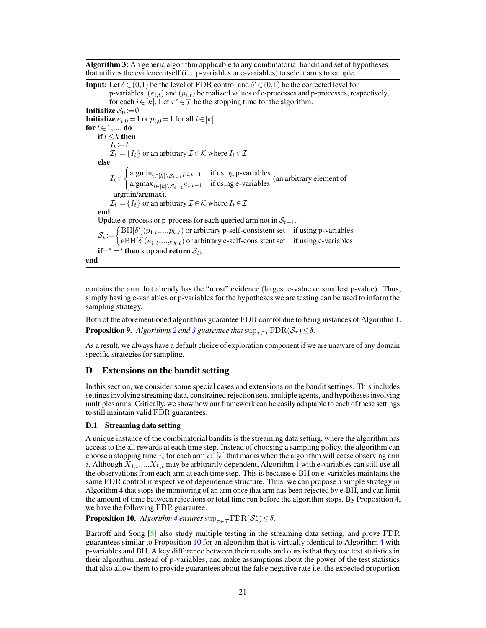Algorithm 3: An generic algorithm applicable to any combinatorial bandit and set of hypotheses that utilizes the evidence itself (i.e. p-variables or e-variables) to select arms to sample.

<span id="page-7-0"></span>**Input:** Let  $\delta \in (0,1)$  be the level of FDR control and  $\delta' \in (0,1)$  be the corrected level for p-variables.  $(e_{i,t})$  and  $(p_{i,t})$  be realized values of e-processes and p-processes, respectively, for each  $i \in [k]$ . Let  $\tau^* \in \mathcal{T}$  be the stopping time for the algorithm. Initialize  $S_0 := \emptyset$ **Initialize**  $e_{i,0} = 1$  or  $p_{i,0} = 1$  for all  $i \in [k]$ for  $t \in 1,...,$  do if  $t \leq k$  then  $I_t := t$  $\mathcal{I}_t \coloneqq \{I_t\}$  or an arbitrary  $\mathcal{I} \in \mathcal{K}$  where  $I_t \in \mathcal{I}$ else  $I_t \in$  $\int \operatorname{argmin}_{i \in [k] \setminus \mathcal{S}_{t-1}} p_{i,t-1}$  if using p-variables  $\arg \max_{i \in [k] \setminus S_{t-1}} e_{i,t-1}$  if using e-variables (an arbitrary element of argmin/argmax).  $\mathcal{I}_t \coloneqq \{I_t\}$  or an arbitrary  $\mathcal{I} \in \mathcal{K}$  where  $I_t \in \mathcal{I}$ end Update e-process or p-process for each queried arm not in  $S_{t-1}$ .  $S_t := \begin{cases} \text{BH}[\delta'](p_{1,t},...,p_{k,t}) \text{ or arbitrary p-self-consistent set} & \text{if using p-variables} \\ \text{or } \text{Hil}(\delta)(q_{k,t},...,q_{k,t}) & \text{or arbitrary p-self-consistent set} & \text{if using p-variables} \end{cases}$  $eBH[\delta](e_{1,t},...,e_{k,t})$  or arbitrary e-self-consistent set if using e-variables if  $\tau^* = t$  then stop and return  $\mathcal{S}_t$ ; end

contains the arm that already has the "most" evidence (largest e-value or smallest p-value). Thus, simply having e-variables or p-variables for the hypotheses we are testing can be used to inform the sampling strategy.

Both of the aforementioned algorithms guarantee FDR control due to being instances of Algorithm [1.](#page--1-18) **Proposition 9.** *Algorithms* [2](#page-6-0) *and* [3](#page-7-0) *guarantee that*  $\sup_{\tau \in \mathcal{T}} \text{FDR}(\mathcal{S}_{\tau}) \leq \delta$ .

As a result, we always have a default choice of exploration component if we are unaware of any domain specific strategies for sampling.

# D Extensions on the bandit setting

In this section, we consider some special cases and extensions on the bandit settings. This includes settings involving streaming data, constrained rejection sets, multiple agents, and hypotheses involving multiples arms. Critically, we show how our framework can be easily adaptable to each of these settings to still maintain valid FDR guarantees.

### D.1 Streaming data setting

A unique instance of the combinatorial bandits is the streaming data setting, where the algorithm has access to the all rewards at each time step. Instead of choosing a sampling policy, the algorithm can choose a stopping time  $\tau_i$  for each arm  $i \in [k]$  that marks when the algorithm will cease observing arm i. Although  $X_{1,t},...,X_{k,t}$  $X_{1,t},...,X_{k,t}$  $X_{1,t},...,X_{k,t}$  may be arbitrarily dependent, Algorithm 1 with e-variables can still use all the observations from each arm at each time step. This is because e-BH on e-variables maintains the same FDR control irrespective of dependence structure. Thus, we can propose a simple strategy in Algorithm [4](#page-8-0) that stops the monitoring of an arm once that arm has been rejected by e-BH, and can limit the amount of time between rejections or total time run before the algorithm stops. By Proposition [4,](#page--1-5) we have the following FDR guarantee.

<span id="page-7-1"></span>**Proposition 10.** Algorithm [4](#page-8-0) ensures  $\sup_{\tau \in \mathcal{T}} \text{FDR}(\mathcal{S}_{\tau}^*) \leq \delta$ .

Bartroff and Song [\[5\]](#page--1-25) also study multiple testing in the streaming data setting, and prove FDR guarantees similar to Proposition [10](#page-7-1) for an algorithm that is virtually identical to Algorithm [4](#page-8-0) with p-variables and BH. A key difference between their results and ours is that they use test statistics in their algorithm instead of p-variables, and make assumptions about the power of the test statistics that also allow them to provide guarantees about the false negative rate i.e. the expected proportion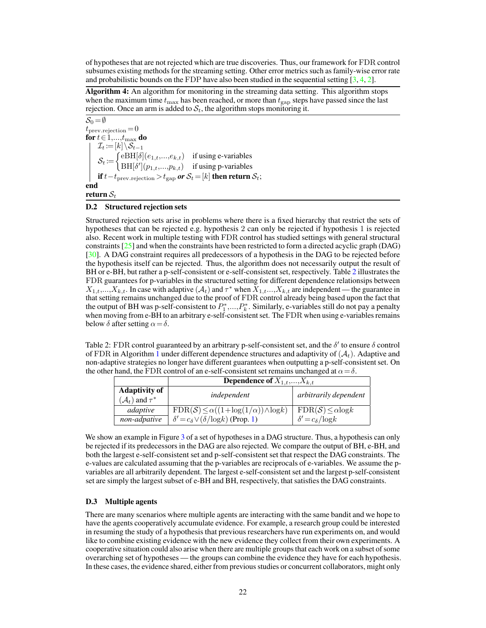of hypotheses that are not rejected which are true discoveries. Thus, our framework for FDR control subsumes existing methods for the streaming setting. Other error metrics such as family-wise error rate and probabilistic bounds on the FDP have also been studied in the sequential setting [\[3,](#page--1-26) [4,](#page--1-27) [2\]](#page--1-28).

<span id="page-8-0"></span>Algorithm 4: An algorithm for monitoring in the streaming data setting. This algorithm stops when the maximum time  $t_{\text{max}}$  has been reached, or more than  $t_{\text{gap}}$  steps have passed since the last rejection. Once an arm is added to  $S_t$ , the algorithm stops monitoring it.

 $S_0 = \emptyset$  $t_{\text{prev-rejection}} = 0$ for  $t \in 1,...,t_{\max}$  do  $\mathcal{I}_t\!\coloneqq\! [k]\backslash \mathcal{S}_{t-1}$  $S_t = \begin{cases} \text{eBH}[\delta](e_{1,t},...,e_{k,t}) & \text{if using e-variables} \\ \text{DIF}[\delta](e_{1,t},...,e_{k,t}) & \text{if using e-variables} \end{cases}$  $\text{BH}[\delta'](p_{1,t},...,p_{k,t})$  if using p-variables if  $t-t_{\text{prev\_rejection}}>t_{\text{gap}}$  *or*  $\mathcal{S}_t\!=\![k]$  *then return*  $\mathcal{S}_t$ ; end return  $S_t$ 

#### D.2 Structured rejection sets

Structured rejection sets arise in problems where there is a fixed hierarchy that restrict the sets of hypotheses that can be rejected e.g. hypothesis 2 can only be rejected if hypothesis 1 is rejected also. Recent work in multiple testing with FDR control has studied settings with general structural constraints  $[25]$  and when the constraints have been restricted to form a directed acyclic graph (DAG) [\[30\]](#page--1-30). A DAG constraint requires all predecessors of a hypothesis in the DAG to be rejected before the hypothesis itself can be rejected. Thus, the algorithm does not necessarily output the result of BH or e-BH, but rather a p-self-consistent or e-self-consistent set, respectively. Table [2](#page-8-1) illustrates the FDR guarantees for p-variables in the structured setting for different dependence relationsips between  $X_{1,t},...,X_{k,t}$ . In case with adaptive  $(\mathcal{A}_t)$  and  $\tau^*$  when  $X_{1,t},...,X_{k,t}$  are independent — the guarantee in that setting remains unchanged due to the proof of FDR control already being based upon the fact that the output of BH was p-self-consistent to  $P_1^*,...,P_k^*$ . Similarly, e-variables still do not pay a penalty when moving from e-BH to an arbitrary e-self-consistent set. The FDR when using e-variables remains below  $\delta$  after setting  $\alpha = \delta$ .

<span id="page-8-1"></span>Table 2: FDR control guaranteed by an arbitrary p-self-consistent set, and the  $\delta'$  to ensure  $\delta$  control of FDR in Algorithm [1](#page--1-18) under different dependence structures and adaptivity of  $(A_t)$ . Adaptive and non-adaptive strategies no longer have different guarantees when outputting a p-self-consistent set. On the other hand, the FDR control of an e-self-consistent set remains unchanged at  $\alpha = \delta$ .

|                                | <b>Dependence of</b> $X_{1,t},,X_{k,t}$                  |                               |
|--------------------------------|----------------------------------------------------------|-------------------------------|
| <b>Adaptivity of</b>           | independent                                              | arbitrarily dependent         |
| $(\mathcal{A}_t)$ and $\tau^*$ |                                                          |                               |
| adaptive                       | $FDR(S) \leq \alpha((1 + \log(1/\alpha)) \wedge \log k)$ | $FDR(S) \le \alpha \log k$    |
| non-adpative                   | $\delta' = c_{\delta} \vee (\delta / \log k)$ (Prop. 1)  | $\delta' = c_{\delta}/\log k$ |

We show an example in Figure [3](#page-9-0) of a set of hypotheses in a DAG structure. Thus, a hypothesis can only be rejected if its predecessors in the DAG are also rejected. We compare the output of BH, e-BH, and both the largest e-self-consistent set and p-self-consistent set that respect the DAG constraints. The e-values are calculated assuming that the p-variables are reciprocals of e-variables. We assume the pvariables are all arbitrarily dependent. The largest e-self-consistent set and the largest p-self-consistent set are simply the largest subset of e-BH and BH, respectively, that satisfies the DAG constraints.

#### D.3 Multiple agents

There are many scenarios where multiple agents are interacting with the same bandit and we hope to have the agents cooperatively accumulate evidence. For example, a research group could be interested in resuming the study of a hypothesis that previous researchers have run experiments on, and would like to combine existing evidence with the new evidence they collect from their own experiments. A cooperative situation could also arise when there are multiple groups that each work on a subset of some overarching set of hypotheses — the groups can combine the evidence they have for each hypothesis. In these cases, the evidence shared, either from previous studies or concurrent collaborators, might only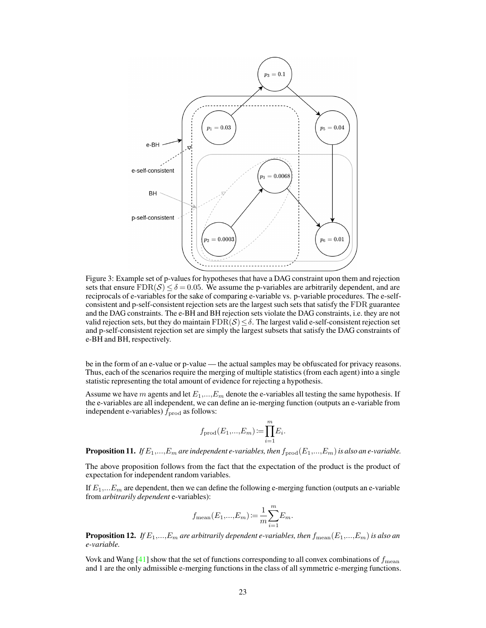<span id="page-9-0"></span>

Figure 3: Example set of p-values for hypotheses that have a DAG constraint upon them and rejection sets that ensure  $FDR(S) \leq \delta = 0.05$ . We assume the p-variables are arbitrarily dependent, and are reciprocals of e-variables for the sake of comparing e-variable vs. p-variable procedures. The e-selfconsistent and p-self-consistent rejection sets are the largest such sets that satisfy the FDR guarantee and the DAG constraints. The e-BH and BH rejection sets violate the DAG constraints, i.e. they are not valid rejection sets, but they do maintain  $FDR(S) \leq \delta$ . The largest valid e-self-consistent rejection set and p-self-consistent rejection set are simply the largest subsets that satisfy the DAG constraints of e-BH and BH, respectively.

be in the form of an e-value or p-value — the actual samples may be obfuscated for privacy reasons. Thus, each of the scenarios require the merging of multiple statistics (from each agent) into a single statistic representing the total amount of evidence for rejecting a hypothesis.

Assume we have m agents and let  $E_1,..., E_m$  denote the e-variables all testing the same hypothesis. If the e-variables are all independent, we can define an ie-merging function (outputs an e-variable from independent e-variables)  $\hat{f}_{\text{prod}}$  as follows:

$$
f_{\text{prod}}(E_1,...,E_m) := \prod_{i=1}^m E_i.
$$

**Proposition 11.** *If*  $E_1$ ,..., $E_m$  are independent e-variables, then  $f_{\text{prod}}(E_1,...,E_m)$  is also an e-variable.

The above proposition follows from the fact that the expectation of the product is the product of expectation for independent random variables.

If  $E_1,... E_m$  are dependent, then we can define the following e-merging function (outputs an e-variable from *arbitrarily dependent* e-variables):

$$
f_{\text{mean}}(E_1,...,E_m) := \frac{1}{m} \sum_{i=1}^m E_m.
$$

**Proposition 12.** If  $E_1,...,E_m$  are arbitrarily dependent e-variables, then  $f_{\text{mean}}(E_1,...,E_m)$  is also an *e-variable.*

Vovk and Wang  $[41]$  show that the set of functions corresponding to all convex combinations of  $f_{\text{mean}}$ and 1 are the only admissible e-merging functions in the class of all symmetric e-merging functions.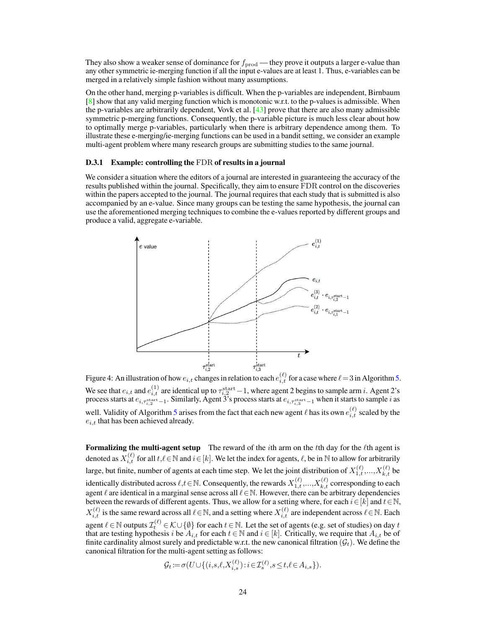They also show a weaker sense of dominance for  $f_{\text{prod}}$  — they prove it outputs a larger e-value than any other symmetric ie-merging function if all the input e-values are at least 1. Thus, e-variables can be merged in a relatively simple fashion without many assumptions.

On the other hand, merging p-variables is difficult. When the p-variables are independent, Birnbaum [\[8\]](#page--1-32) show that any valid merging function which is monotonic w.r.t. to the p-values is admissible. When the p-variables are arbitrarily dependent, Vovk et al. [\[43\]](#page--1-33) prove that there are also many admissible symmetric p-merging functions. Consequently, the p-variable picture is much less clear about how to optimally merge p-variables, particularly when there is arbitrary dependence among them. To illustrate these e-merging/ie-merging functions can be used in a bandit setting, we consider an example multi-agent problem where many research groups are submitting studies to the same journal.

#### D.3.1 Example: controlling the FDR of results in a journal

<span id="page-10-0"></span>We consider a situation where the editors of a journal are interested in guaranteeing the accuracy of the results published within the journal. Specifically, they aim to ensure FDR control on the discoveries within the papers accepted to the journal. The journal requires that each study that is submitted is also accompanied by an e-value. Since many groups can be testing the same hypothesis, the journal can use the aforementioned merging techniques to combine the e-values reported by different groups and produce a valid, aggregate e-variable.



Figure 4: An illustration of how  $e_{i,t}$  changes in relation to each  $e_{i,t}^{(\ell)}$  for a case where  $\ell = 3$  in Algorithm [5.](#page-11-0) We see that  $e_{i,t}$  and  $e_{i,t}^{(1)}$  are identical up to  $\tau_{i,2}^{\text{start}}-1$ , where agent 2 begins to sample arm *i*. Agent 2's process starts at  $e_{i,\tau_{i,2}^{\text{start}}-1}$ . Similarly, Agent 3's process starts at  $e_{i,\tau_{i,3}^{\text{start}}-1}$  when it starts to sample  $i$  as well. Validity of Algorithm [5](#page-11-0) arises from the fact that each new agent  $\ell$  has its own  $e_{i,t}^{(\ell)}$  scaled by the  $e_{i,t}$  that has been achieved already.

Formalizing the multi-agent setup The reward of the  $i$ th arm on the  $t$ th day for the  $\ell$ th agent is denoted as  $X_{i,t}^{(\ell)}$  for all  $t,\ell\in\mathbb{N}$  and  $i\in[k].$  We let the index for agents,  $\ell$ , be in  $\mathbb N$  to allow for arbitrarily large, but finite, number of agents at each time step. We let the joint distribution of  $X_{1,t}^{(\ell)},...,X_{k,t}^{(\ell)}$  be identically distributed across  $\ell, t \in \mathbb{N}$ . Consequently, the rewards  $X_{1,t}^{(\ell)},...,X_{k,t}^{(\ell)}$  corresponding to each agent  $\ell$  are identical in a marginal sense across all  $\ell \in \mathbb{N}$ . However, there can be arbitrary dependencies between the rewards of different agents. Thus, we allow for a setting where, for each  $i \in [k]$  and  $t \in \mathbb{N}$ ,  $X_{i,t}^{(\ell)}$  is the same reward across all  $\ell \in \mathbb{N}$ , and a setting where  $X_{i,t}^{(\ell)}$  are independent across  $\ell \in \mathbb{N}$ . Each agent  $\ell \in \mathbb{N}$  outputs  $\mathcal{I}^{(\ell)}_t \in \mathcal{K} \cup \{\emptyset\}$  for each  $t \in \mathbb{N}.$  Let the set of agents (e.g. set of studies) on day  $t$ that are testing hypothesis *i* be  $A_{i,t}$  for each  $t \in \mathbb{N}$  and  $i \in [k]$ . Critically, we require that  $A_{i,t}$  be of finite cardinality almost surely and predictable w.r.t. the new canonical filtration  $(\mathcal{G}_t)$ . We define the canonical filtration for the multi-agent setting as follows:

$$
\mathcal{G}_t\!:=\!\sigma\big(U\!\cup\!\big\{(i,\!s,\!\ell,\!X_{i,s}^{(\ell)}\!\big): \!i\!\in\!\mathcal{I}_s^{(\ell)},\!s\!\leq\!t,\!\ell\!\in\!A_{i,s}\big\}\big).
$$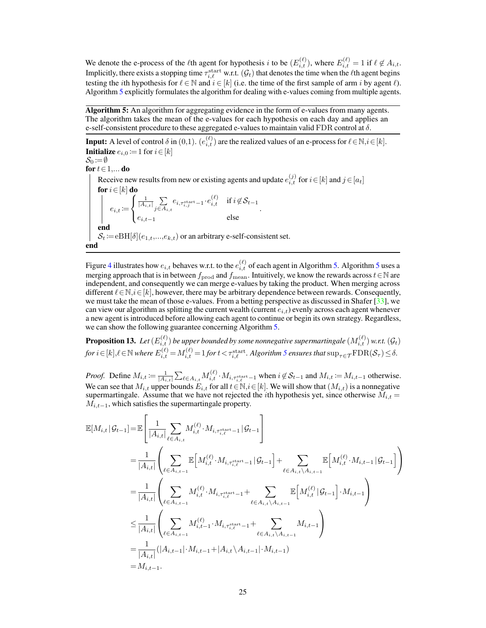We denote the e-process of the *l*<sup>th</sup> agent for hypothesis *i* to be  $(E_{i,t}^{(\ell)})$ , where  $E_{i,t}^{(\ell)} = 1$  if  $\ell \notin A_{i,t}$ . Implicitly, there exists a stopping time  $\tau_{i,\ell}^{\text{start}}$  w.r.t.  $(\mathcal{G}_t)$  that denotes the time when the  $\ell$ th agent begins testing the *i*th hypothesis for  $\ell \in \mathbb{N}$  and  $i \in [k]$  (i.e. the time of the first sample of arm *i* by agent  $\ell$ ). Algorithm [5](#page-11-0) explicitly formulates the algorithm for dealing with e-values coming from multiple agents.

Algorithm 5: An algorithm for aggregating evidence in the form of e-values from many agents. The algorithm takes the mean of the e-values for each hypothesis on each day and applies an e-self-consistent procedure to these aggregated e-values to maintain valid FDR control at  $\delta$ .

<span id="page-11-0"></span>**Input:** A level of control  $\delta$  in  $(0,1)$ .  $(e_{i,t}^{(\ell)})$  are the realized values of an e-process for  $\ell \in \mathbb{N}, i \in [k]$ . **Initialize**  $e_{i,0} := 1$  for  $i \in [k]$ 

 $\mathcal{S}_0 \coloneqq \emptyset$ for  $t \in 1,...$  do

Receive new results from new or existing agents and update  $e_{i,t}^{(j)}$  for  $i \in [k]$  and  $j \in [a_t]$ for  $i \in [k]$  do  $e_{i,t} \coloneqq$  $\sqrt{ }$  $\mathcal{F}$  $\mathbf{I}$  $\frac{1}{|A_{i,t}|}$  $\sum\limits_{j\in A_{i,t}}e_{i,\tau_{i,j}^{\text{start}}-1}\!\cdot\!e_{i,t}^{(\ell)} \quad \text{if } i\!\not\in\!\mathcal{S}_{t-1}$  $e_{i,t-1}$  else . end  $\mathcal{S}_t \coloneqq e \mathrm{BH}[\delta](e_{1,t},...,e_{k,t})$  or an arbitrary e-self-consistent set. end

Figure [4](#page-10-0) illustrates how  $e_{i,t}$  behaves w.r.t. to the  $e_{i,t}^{(\ell)}$  of each agent in Algorithm [5.](#page-11-0) Algorithm [5](#page-11-0) uses a merging approach that is in between  $f_{\text{prod}}$  and  $f_{\text{mean}}$ . Intuitively, we know the rewards across  $t \in \mathbb{N}$  are independent, and consequently we can merge e-values by taking the product. When merging across different  $\ell \in \mathbb{N}, i \in [k]$ , however, there may be arbitrary dependence between rewards. Consequently, we must take the mean of those e-values. From a betting perspective as discussed in Shafer  $[33]$ , we can view our algorithm as splitting the current wealth (current  $e_{i,t}$ ) evenly across each agent whenever a new agent is introduced before allowing each agent to continue or begin its own strategy. Regardless, we can show the following guarantee concerning Algorithm [5.](#page-11-0)

<span id="page-11-1"></span> $\bf{Proposition 13.}$  Let  $(E_{i,t}^{(\ell)})$  be upper bounded by some nonnegative supermartingale  $(M_{i,t}^{(\ell)})$  w.r.t.  $(\mathcal{G}_t)$  $f$ or  $i\in[k],\ell\in\mathbb{N}$  where  $E_{i,t}^{(\ell)}\!=\!M_{i,t}^{(\ell)}\!=\!1$  for  $t\!<\!\tau_{i,\ell}^{\text{start}}.$  Algorithm [5](#page-11-0) ensures that  $\sup_{\tau\in\mathcal{T}}\!\operatorname{FDR}(\mathcal{S}_\tau)\!\leq\!\delta.$ 

*Proof.* Define  $M_{i,t} := \frac{1}{|A_{i,t}|} \sum_{\ell \in A_{i,t}} M_{i,t}^{(\ell)} \cdot M_{i,\tau_{i,\ell}^{\text{start}}-1}$  when  $i \notin S_{t-1}$  and  $M_{i,t} := M_{i,t-1}$  otherwise. We can see that  $M_{i,t}$  upper bounds  $E_{i,t}$  for all  $t \in \mathbb{N}, i \in [k]$ . We will show that  $(M_{i,t})$  is a nonnegative supermartingale. Assume that we have not rejected the *i*th hypothesis yet, since otherwise  $M_{i,t}$  $M_{i,t-1}$ , which satisfies the supermartingale property.

$$
\mathbb{E}[M_{i,t} | \mathcal{G}_{t-1}] = \mathbb{E} \left[ \frac{1}{|A_{i,t}|} \sum_{\ell \in A_{i,t}} M_{i,t}^{(\ell)} \cdot M_{i, \tau_{i,\ell}^{\text{start}}-1} | \mathcal{G}_{t-1} \right]
$$
\n
$$
= \frac{1}{|A_{i,t}|} \left( \sum_{\ell \in A_{i,t-1}} \mathbb{E} \left[ M_{i,t}^{(\ell)} \cdot M_{i, \tau_{i,\ell}^{\text{start}}-1} | \mathcal{G}_{t-1} \right] + \sum_{\ell \in A_{i,t} \setminus A_{i,t-1}} \mathbb{E} \left[ M_{i,t}^{(\ell)} \cdot M_{i,t-1} | \mathcal{G}_{t-1} \right] \right)
$$
\n
$$
= \frac{1}{|A_{i,t}|} \left( \sum_{\ell \in A_{i,t-1}} M_{i,t}^{(\ell)} \cdot M_{i, \tau_{i,\ell}^{\text{start}}-1} + \sum_{\ell \in A_{i,t} \setminus A_{i,t-1}} \mathbb{E} \left[ M_{i,t}^{(\ell)} | \mathcal{G}_{t-1} \right] \cdot M_{i,t-1} \right)
$$
\n
$$
\leq \frac{1}{|A_{i,t}|} \left( \sum_{\ell \in A_{i,t-1}} M_{i,t-1}^{(\ell)} \cdot M_{i, \tau_{i,\ell}^{\text{start}}-1} + \sum_{\ell \in A_{i,t} \setminus A_{i,t-1}} M_{i,t-1} \right)
$$
\n
$$
= \frac{1}{|A_{i,t}|} (|A_{i,t-1}| \cdot M_{i,t-1} + |A_{i,t} \setminus A_{i,t-1}| \cdot M_{i,t-1})
$$
\n
$$
= M_{i,t-1}.
$$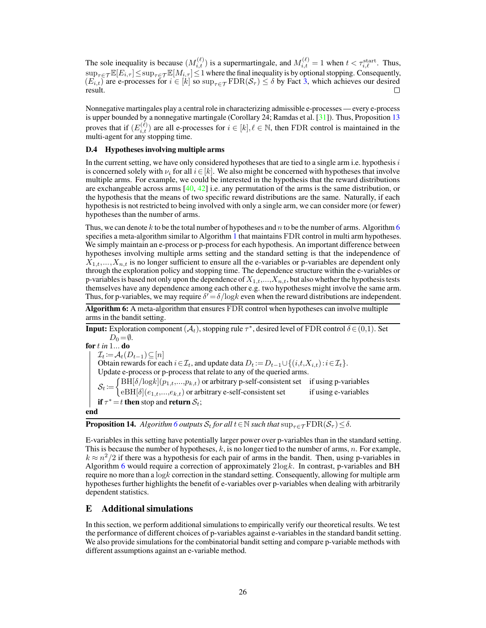The sole inequality is because  $(M_{i,t}^{(\ell)})$  is a supermartingale, and  $M_{i,t}^{(\ell)} = 1$  when  $t < \tau_{i,\ell}^{\text{start}}$ . Thus,  $\sup_{\tau \in \mathcal{T}} \mathbb{E}[E_{i,\tau}] \leq \sup_{\tau \in \mathcal{T}} \mathbb{E}[M_{i,\tau}] \leq 1$  where the final inequality is by optional stopping. Consequently,  $(E_{i,t})$  are e-processes for  $i \in [k]$  so  $\sup_{\tau \in \mathcal{T}} \text{FDR}(\mathcal{S}_{\tau}) \leq \delta$  by Fact [3,](#page--1-7) which achieves our desired result.

Nonnegative martingales play a central role in characterizing admissible e-processes — every e-process is upper bounded by a nonnegative martingale (Corollary 24; Ramdas et al. [\[31\]](#page--1-1)). Thus, Proposition [13](#page-11-1) proves that if  $(E_{i,t}^{(\ell)})$  are all e-processes for  $i \in [k], \ell \in \mathbb{N}$ , then FDR control is maintained in the multi-agent for any stopping time.

#### D.4 Hypotheses involving multiple arms

In the current setting, we have only considered hypotheses that are tied to a single arm i.e. hypothesis  $i$ is concerned solely with  $\nu_i$  for all  $i \in [k]$ . We also might be concerned with hypotheses that involve multiple arms. For example, we could be interested in the hypothesis that the reward distributions are exchangeable across arms  $[40, 42]$  $[40, 42]$  $[40, 42]$  i.e. any permutation of the arms is the same distribution, or the hypothesis that the means of two specific reward distributions are the same. Naturally, if each hypothesis is not restricted to being involved with only a single arm, we can consider more (or fewer) hypotheses than the number of arms.

Thus, we can denote k to be the total number of hypotheses and  $n$  to be the number of arms. Algorithm [6](#page-12-0) specifies a meta-algorithm similar to Algorithm [1](#page--1-18) that maintains FDR control in multi arm hypotheses. We simply maintain an e-process or p-process for each hypothesis. An important difference between hypotheses involving multiple arms setting and the standard setting is that the independence of  $X_{1,t},...,X_{n,t}$  is no longer sufficient to ensure all the e-variables or p-variables are dependent only through the exploration policy and stopping time. The dependence structure within the e-variables or p-variables is based not only upon the dependence of  $X_{1,t},...,X_{n,t}$ , but also whether the hypothesis tests themselves have any dependence among each other e.g. two hypotheses might involve the same arm. Thus, for p-variables, we may require  $\delta' = \delta / \log k$  even when the reward distributions are independent.

Algorithm 6: A meta-algorithm that ensures FDR control when hypotheses can involve multiple arms in the bandit setting.

<span id="page-12-0"></span>**Input:** Exploration component  $(A_t)$ , stopping rule  $\tau^*$ , desired level of FDR control  $\delta \in (0,1)$ . Set  $D_0 = \emptyset$ . for *in* 1... do  $\mathcal{I}_t \coloneqq \mathcal{A}_t(D_{t-1}) \subseteq [n]$ Obtain rewards for each  $i \in \mathcal{I}_t$ , and update data  $D_t := D_{t-1} \cup \{(i,t,X_{i,t}): i \in \mathcal{I}_t\}.$ Update e-process or p-process that relate to any of the queried arms.  $S_t := \begin{cases} \text{BH}[\delta/\log k](p_{1,t},...,p_{k,t}) \text{ or arbitrary p-self-consistent set} & \text{if using p-variables} \\ \text{PH}(\delta/\log k)(p_{1,t},...,p_{k,t}) & \text{or arbitrary p-self-consistent set} & \text{if using p-variables} \end{cases}$  $eBH[\delta](e_{1,t},...,e_{k,t})$  or arbitrary e-self-consistent set if using e-variables if  $\tau^* = t$  then stop and return  $\mathcal{S}_t$ ; end

**Proposition 14.** *Algorithm* [6](#page-12-0) *outputs*  $S_t$  *for all*  $t \in \mathbb{N}$  *such that*  $\sup_{\tau \in \mathcal{T}} \text{FDR}(\mathcal{S}_{\tau}) \leq \delta$ .

E-variables in this setting have potentially larger power over p-variables than in the standard setting. This is because the number of hypotheses,  $k$ , is no longer tied to the number of arms,  $n$ . For example,  $k \approx n^2/2$  if there was a hypothesis for each pair of arms in the bandit. Then, using p-variables in Algorithm [6](#page-12-0) would require a correction of approximately  $2\log k$ . In contrast, p-variables and BH require no more than a  $\log k$  correction in the standard setting. Consequently, allowing for multiple arm hypotheses further highlights the benefit of e-variables over p-variables when dealing with arbitrarily dependent statistics.

### E Additional simulations

In this section, we perform additional simulations to empirically verify our theoretical results. We test the performance of different choices of p-variables against e-variables in the standard bandit setting. We also provide simulations for the combinatorial bandit setting and compare p-variable methods with different assumptions against an e-variable method.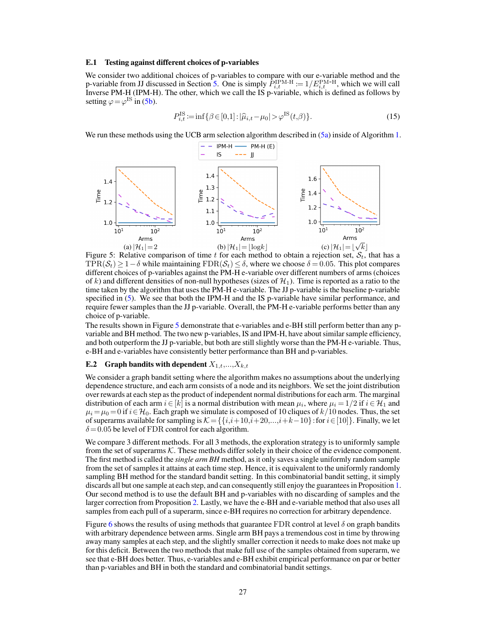#### E.1 Testing against different choices of p-variables

We consider two additional choices of p-variables to compare with our e-variable method and the p-variable from JJ discussed in Section [5.](#page--1-37) One is simply  $P_{i,t}^{\text{IPM-H}} := 1/E_{i,t}^{\text{PM-H}}$ , which we will call Inverse PM-H (IPM-H). The other, which we call the IS p-variable, which is defined as follows by setting  $\varphi = \varphi$ <sup>IS</sup> in [\(5b\)](#page--1-38).

$$
P_{i,t}^{\text{IS}} := \inf \{ \beta \in [0,1] : |\hat{\mu}_{i,t} - \mu_0| > \varphi^{\text{IS}}(t,\beta) \}. \tag{15}
$$

<span id="page-13-0"></span>We run these methods using the UCB arm selection algorithm described in  $(5a)$  inside of Algorithm [1.](#page--1-18)



Figure 5: Relative comparison of time t for each method to obtain a rejection set,  $S_t$ , that has a TPR( $S_t$ ) ≥ 1 –  $\delta$  while maintaining FDR( $S_t$ ) ≤  $\delta$ , where we choose  $\delta$  = 0.05. This plot compares different choices of p-variables against the PM-H e-variable over different numbers of arms (choices of k) and different densities of non-null hypotheses (sizes of  $\mathcal{H}_1$ ). Time is reported as a ratio to the time taken by the algorithm that uses the PM-H e-variable. The JJ p-variable is the baseline p-variable specified in [\(5\)](#page--1-38). We see that both the IPM-H and the IS p-variable have similar performance, and require fewer samples than the JJ p-variable. Overall, the PM-H e-variable performs better than any choice of p-variable.

The results shown in Figure [5](#page-13-0) demonstrate that e-variables and e-BH still perform better than any pvariable and BH method. The two new p-variables, IS and IPM-H, have about similar sample efficiency, and both outperform the JJ p-variable, but both are still slightly worse than the PM-H e-variable. Thus, e-BH and e-variables have consistently better performance than BH and p-variables.

#### **E.2** Graph bandits with dependent  $X_{1,t},...,X_{k,t}$

We consider a graph bandit setting where the algorithm makes no assumptions about the underlying dependence structure, and each arm consists of a node and its neighbors. We set the joint distribution over rewards at each step as the product of independent normal distributions for each arm. The marginal distribution of each arm  $i \in [k]$  is a normal distribution with mean  $\mu_i$ , where  $\mu_i = 1/2$  if  $i \in {\mathcal H}_1$  and  $\mu_i = \mu_0 = 0$  if  $i \in \mathcal{H}_0$ . Each graph we simulate is composed of 10 cliques of  $k/10$  nodes. Thus, the set of superarms available for sampling is  $K = \{ \{i,i+10,i+20,\ldots,i+k-10\} :$  for  $i \in [10] \}$ . Finally, we let  $\delta$  = 0.05 be level of FDR control for each algorithm.

We compare 3 different methods. For all 3 methods, the exploration strategy is to uniformly sample from the set of superarms  $K$ . These methods differ solely in their choice of the evidence component. The first method is called the *single arm BH* method, as it only saves a single uniformly random sample from the set of samples it attains at each time step. Hence, it is equivalent to the uniformly randomly sampling BH method for the standard bandit setting. In this combinatorial bandit setting, it simply discards all but one sample at each step, and can consequently still enjoy the guarantees in Proposition [1.](#page--1-4) Our second method is to use the default BH and p-variables with no discarding of samples and the larger correction from Proposition [2.](#page--1-8) Lastly, we have the e-BH and e-variable method that also uses all samples from each pull of a superarm, since e-BH requires no correction for arbitrary dependence.

Figure [6](#page-14-0) shows the results of using methods that guarantee FDR control at level  $\delta$  on graph bandits with arbitrary dependence between arms. Single arm BH pays a tremendous cost in time by throwing away many samples at each step, and the slightly smaller correction it needs to make does not make up for this deficit. Between the two methods that make full use of the samples obtained from superarm, we see that e-BH does better. Thus, e-variables and e-BH exhibit empirical performance on par or better than p-variables and BH in both the standard and combinatorial bandit settings.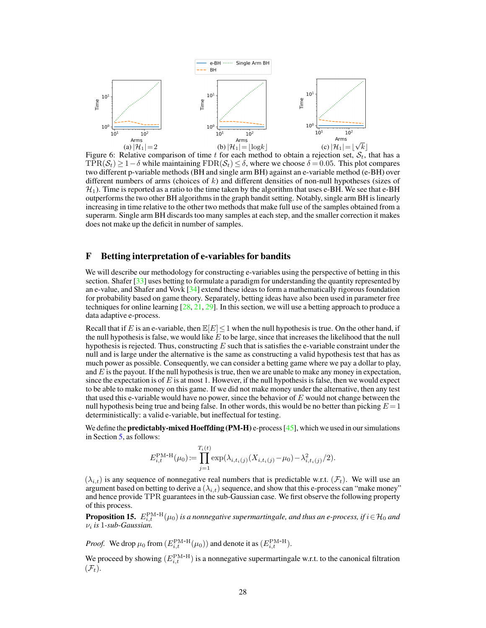<span id="page-14-0"></span>

Figure 6: Relative comparison of time  $t$  for each method to obtain a rejection set,  $S_t$ , that has a TPR( $S_t$ ) ≥ 1 –  $\delta$  while maintaining FDR( $S_t$ ) ≤  $\delta$ , where we choose  $\delta$  = 0.05. This plot compares two different p-variable methods (BH and single arm BH) against an e-variable method (e-BH) over different numbers of arms (choices of  $k$ ) and different densities of non-null hypotheses (sizes of  $\mathcal{H}_1$ ). Time is reported as a ratio to the time taken by the algorithm that uses e-BH. We see that e-BH outperforms the two other BH algorithms in the graph bandit setting. Notably, single arm BH is linearly increasing in time relative to the other two methods that make full use of the samples obtained from a superarm. Single arm BH discards too many samples at each step, and the smaller correction it makes does not make up the deficit in number of samples.

## F Betting interpretation of e-variables for bandits

We will describe our methodology for constructing e-variables using the perspective of betting in this section. Shafer [\[33\]](#page--1-34) uses betting to formulate a paradigm for understanding the quantity represented by an e-value, and Shafer and Vovk  $\lceil 34 \rceil$  extend these ideas to form a mathematically rigorous foundation for probability based on game theory. Separately, betting ideas have also been used in parameter free techniques for online learning  $[28, 21, 29]$  $[28, 21, 29]$  $[28, 21, 29]$  $[28, 21, 29]$  $[28, 21, 29]$ . In this section, we will use a betting approach to produce a data adaptive e-process.

Recall that if E is an e-variable, then  $\mathbb{E}[E]<1$  when the null hypothesis is true. On the other hand, if the null hypothesis is false, we would like  $\overline{E}$  to be large, since that increases the likelihood that the null hypothesis is rejected. Thus, constructing  $E$  such that is satisfies the e-variable constraint under the null and is large under the alternative is the same as constructing a valid hypothesis test that has as much power as possible. Consequently, we can consider a betting game where we pay a dollar to play, and  $E$  is the payout. If the null hypothesis is true, then we are unable to make any money in expectation, since the expectation is of  $E$  is at most 1. However, if the null hypothesis is false, then we would expect to be able to make money on this game. If we did not make money under the alternative, then any test that used this e-variable would have no power, since the behavior of  $E$  would not change between the null hypothesis being true and being false. In other words, this would be no better than picking  $E = 1$ deterministically: a valid e-variable, but ineffectual for testing.

We define the **predictably-mixed Hoeffding (PM-H)** e-process  $[45]$ , which we used in our simulations in Section [5,](#page--1-37) as follows:

$$
E_{i,t}^{\text{PM-H}}(\mu_0) := \prod_{j=1}^{T_i(t)} \exp(\lambda_{i,t_i(j)}(X_{i,t_i(j)} - \mu_0) - \lambda_{i,t_i(j)}^2/2).
$$

 $(\lambda_{i,t})$  is any sequence of nonnegative real numbers that is predictable w.r.t.  $(\mathcal{F}_t)$ . We will use an argument based on betting to derive a  $(\lambda_{i,t})$  sequence, and show that this e-process can "make money" and hence provide TPR guarantees in the sub-Gaussian case. We first observe the following property of this process.

<span id="page-14-1"></span>**Proposition 15.**  $E_{i,t}^{\text{PM-H}}(\mu_0)$  is a nonnegative supermartingale, and thus an e-process, if  $i \in H_0$  and *is* 1*-sub-Gaussian.*

*Proof.* We drop  $\mu_0$  from  $(E_{i,t}^{\text{PM-H}}(\mu_0))$  and denote it as  $(E_{i,t}^{\text{PM-H}})$ .

We proceed by showing  $(E_{i,t}^{\text{PM-H}})$  is a nonnegative supermartingale w.r.t. to the canonical filtration  $(\mathcal{F}_t)$ .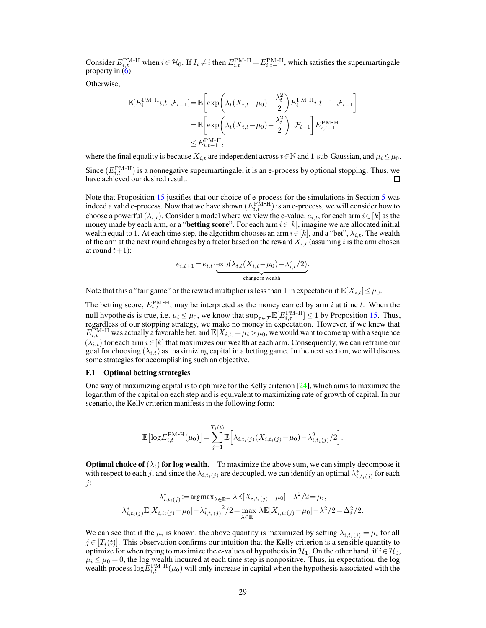Consider  $E_{i,t}^{\text{PM-H}}$  when  $i \in \mathcal{H}_0$ . If  $I_t \neq i$  then  $E_{i,t}^{\text{PM-H}} = E_{i,t-1}^{\text{PM-H}}$ , which satisfies the supermartingale property in  $(6)$ .

Otherwise,

$$
\mathbb{E}[E_i^{\text{PM-H}}i, t | \mathcal{F}_{t-1}] = \mathbb{E}\left[\exp\left(\lambda_t(X_{i,t} - \mu_0) - \frac{\lambda_t^2}{2}\right) E_i^{\text{PM-H}}i, t-1 | \mathcal{F}_{t-1}\right]
$$

$$
= \mathbb{E}\left[\exp\left(\lambda_t(X_{i,t} - \mu_0) - \frac{\lambda_t^2}{2}\right) | \mathcal{F}_{t-1}\right] E_{i,t-1}^{\text{PM-H}}
$$

$$
\leq E_{i,t-1}^{\text{PM-H}},
$$

where the final equality is because  $X_{i,t}$  are independent across  $t \in \mathbb{N}$  and 1-sub-Gaussian, and  $\mu_i \leq \mu_0$ . Since  $(E_{i,t}^{\text{PM-H}})$  is a nonnegative supermartingale, it is an e-process by optional stopping. Thus, we have achieved our desired result.

Note that Proposition [15](#page-14-1) justifies that our choice of e-process for the simulations in Section [5](#page--1-37) was indeed a valid e-process. Now that we have shown  $(E_{i,t}^{\text{PM-H}})$  is an e-process, we will consider how to choose a powerful ( $\lambda_{i,t}$ ). Consider a model where we view the e-value,  $e_{i,t}$ , for each arm  $i \in [k]$  as the money made by each arm, or a "**betting score**". For each arm  $i \in [k]$ , imagine we are allocated initial wealth equal to 1. At each time step, the algorithm chooses an arm  $i \in [k]$ , and a "bet",  $\lambda_{i,t}$ . The wealth of the arm at the next round changes by a factor based on the reward  $X_{i,t}$  (assuming i is the arm chosen at round  $t+1$ :

$$
e_{i,t+1} = e_{i,t} \cdot \underbrace{\exp(\lambda_{i,t}(X_{i,t} - \mu_0) - \lambda_{i,t}^2/2)}_{\text{change in wealth}}.
$$

Note that this a "fair game" or the reward multiplier is less than 1 in expectation if  $\mathbb{E}[X_{i,t}] \leq \mu_0$ .

The betting score,  $E_{i,t}^{\text{PM-H}}$ , may be interpreted as the money earned by arm *i* at time *t*. When the null hypothesis is true, i.e.  $\mu_i \leq \mu_0$ , we know that  $\sup_{\tau \in \mathcal{T}} \mathbb{E}[E_{i,\tau}^{\text{PM-H}}] \leq 1$  by Proposition [15.](#page-14-1) Thus, regardless of our stopping strategy, we make no money in expectation. However, if we knew that  $E_{i,t}^{\text{PM-H}}$  was actually a favorable bet, and  $\mathbb{E}[X_{i,t}] = \mu_i > \mu_0$ , we would want to come up with a sequence  $(\lambda_{i,t})$  for each arm  $i \in [k]$  that maximizes our wealth at each arm. Consequently, we can reframe our goal for choosing  $(\lambda_{i,t})$  as maximizing capital in a betting game. In the next section, we will discuss some strategies for accomplishing such an objective.

#### F.1 Optimal betting strategies

One way of maximizing capital is to optimize for the Kelly criterion  $[24]$ , which aims to maximize the logarithm of the capital on each step and is equivalent to maximizing rate of growth of capital. In our scenario, the Kelly criterion manifests in the following form:

$$
\mathbb{E}\left[\log E_{i,t}^{\text{PM-H}}(\mu_0)\right] = \sum_{j=1}^{T_i(t)} \mathbb{E}\left[\lambda_{i,t_i(j)}(X_{i,t_i(j)} - \mu_0) - \lambda_{i,t_i(j)}^2/2\right].
$$

**Optimal choice of**  $(\lambda_t)$  for log wealth. To maximize the above sum, we can simply decompose it with respect to each j, and since the  $\lambda_{i,t_i(j)}$  are decoupled, we can identify an optimal  $\lambda^*_{i,t_i(j)}$  for each  $\dot{j}$ :

$$
\lambda_{i,t_i(j)}^* := \operatorname{argmax}_{\lambda \in \mathbb{R}^+} \lambda \mathbb{E}[X_{i,t_i(j)} - \mu_0] - \lambda^2/2 = \mu_i,
$$
  

$$
\lambda_{i,t_i(j)}^* \mathbb{E}[X_{i,t_i(j)} - \mu_0] - \lambda_{i,t_i(j)}^* / 2 = \max_{\lambda \in \mathbb{R}^+} \lambda \mathbb{E}[X_{i,t_i(j)} - \mu_0] - \lambda^2/2 = \Delta_i^2/2.
$$

We can see that if the  $\mu_i$  is known, the above quantity is maximized by setting  $\lambda_{i,t_i(j)} = \mu_i$  for all  $j \in [T_i(t)]$ . This observation confirms our intuition that the Kelly criterion is a sensible quantity to optimize for when trying to maximize the e-values of hypothesis in  $\mathcal{H}_1$ . On the other hand, if  $i \in \mathcal{H}_0$ ,  $\mu_i \leq \mu_0 = 0$ , the log wealth incurred at each time step is nonpositive. Thus, in expectation, the log wealth process  $log E_{i,t}^{PM-H}(\mu_0)$  will only increase in capital when the hypothesis associated with the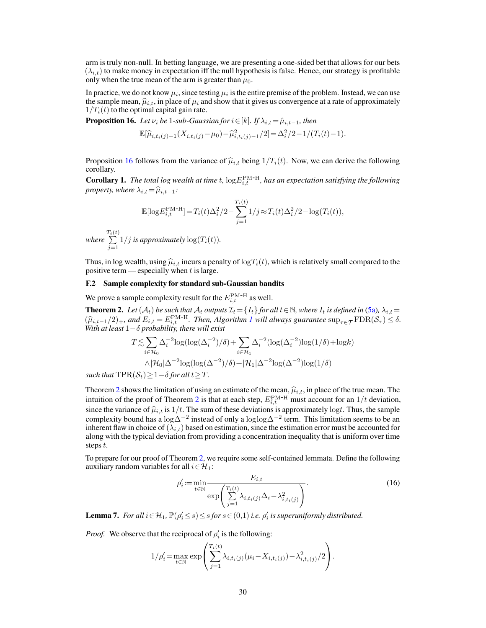arm is truly non-null. In betting language, we are presenting a one-sided bet that allows for our bets  $(\lambda_{i,t})$  to make money in expectation iff the null hypothesis is false. Hence, our strategy is profitable only when the true mean of the arm is greater than  $\mu_0$ .

In practice, we do not know  $\mu_i$ , since testing  $\mu_i$  is the entire premise of the problem. Instead, we can use the sample mean,  $\hat{\mu}_{i,t}$ , in place of  $\mu_i$  and show that it gives us convergence at a rate of approximately  $1/T_i(t)$  to the optimal capital gain rate.

<span id="page-16-0"></span>**Proposition 16.** *Let*  $\nu_i$  *be* 1*-sub-Gaussian for*  $i \in [k]$ *. If*  $\lambda_{i,t} = \hat{\mu}_{i,t-1}$ *, then* 

$$
\mathbb{E}[\widehat{\mu}_{i,t_i(j)-1}(X_{i,t_i(j)} - \mu_0) - \widehat{\mu}_{i,t_i(j)-1}^2/2] = \Delta_i^2/2 - 1/(T_i(t) - 1).
$$

Proposition [16](#page-16-0) follows from the variance of  $\hat{\mu}_{i,t}$  being  $1/T_i(t)$ . Now, we can derive the following corollary.

**Corollary 1.** The total log wealth at time t,  $log E_{i,t}^{\text{PM-H}}$ , has an expectation satisfying the following *property, where*  $\lambda_{i,t} = \hat{\mu}_{i,t-1}$ *:* 

$$
\mathbb{E}[\log E_{i,t}^{\text{PM-H}}] = T_i(t)\Delta_i^2/2 - \sum_{j=1}^{T_i(t)} 1/j \approx T_i(t)\Delta_i^2/2 - \log(T_i(t)),
$$

*where*  $\sum_{i=1}^{T}$  $\sum_{j=1} 1/j$  *is approximately*  $\log(T_i(t))$ *.* 

Thus, in log wealth, using  $\hat{\mu}_{i,t}$  incurs a penalty of  $\log T_i(t)$ , which is relatively small compared to the positive term — especially when  $t$  is large.

### F.2 Sample complexity for standard sub-Gaussian bandits

We prove a sample complexity result for the  $E_{i,t}^{\text{PM-H}}$  as well.

<span id="page-16-1"></span>**Theorem 2.** Let  $(A_t)$  be such that  $A_t$  outputs  $\mathcal{I}_t = \{I_t\}$  for all  $t \in \mathbb{N}$ , where  $I_t$  is defined in [\(5a\)](#page--1-16),  $\lambda_{i,t} =$  $(\widehat{\mu}_{i,t-1}/2)_+$  $(\widehat{\mu}_{i,t-1}/2)_+$  $(\widehat{\mu}_{i,t-1}/2)_+$ , and  $E_{i,t} = E_{i,t}^{\text{PM-H}}$ . Then, Algorithm *I* will always guarantee  $\sup_{\tau \in \mathcal{T}} \text{FDR}(\mathcal{S}_{\tau}) \leq \delta$ .<br>With at least  $1-\delta$  probability there will exist *With at least* 1− *probability, there will exist*

$$
T \lesssim \sum_{i \in \mathcal{H}_0} \Delta_i^{-2} \log(\log(\Delta_i^{-2})/\delta) + \sum_{i \in \mathcal{H}_1} \Delta_i^{-2} (\log(\Delta_i^{-2}) \log(1/\delta) + \log k)
$$
  
 
$$
\wedge |\mathcal{H}_0| \Delta^{-2} \log(\log(\Delta^{-2})/\delta) + |\mathcal{H}_1| \Delta^{-2} \log(\Delta^{-2}) \log(1/\delta)
$$

*such that*  $TPR(S_t) \geq 1 - \delta$  *for all*  $t \geq T$ .

Theorem [2](#page-16-1) shows the limitation of using an estimate of the mean,  $\hat{\mu}_{i,t}$ , in place of the true mean. The intuition of the proof of Theorem [2](#page-16-1) is that at each step,  $E_{i,t}^{\text{PM-H}}$  must account for an  $1/t$  deviation, since the variance of  $\hat{\mu}_{i,t}$  is  $1/t$ . The sum of these deviations is approximately logt. Thus, the sample complexity bound has a log $\Delta^{-2}$  instead of only a loglog $\Delta^{-2}$  term. This limitation seems to be an inherent flaw in choice of  $(\lambda_{i,t})$  based on estimation, since the estimation error must be accounted for along with the typical deviation from providing a concentration inequality that is uniform over time steps  $t$ .

To prepare for our proof of Theorem [2,](#page-16-1) we require some self-contained lemmata. Define the following auxiliary random variables for all  $i \in \mathcal{H}_1$ :

$$
\rho_i' := \min_{t \in \mathbb{N}} \frac{E_{i,t}}{\exp\left(\sum_{j=1}^{T_i(t)} \lambda_{i,t_i(j)} \Delta_i - \lambda_{i,t_i(j)}^2\right)}.
$$
\n(16)

**Lemma 7.** For all  $i \in \mathcal{H}_1$ ,  $\mathbb{P}(\rho_i' \leq s) \leq s$  for  $s \in (0,1)$  *i.e.*  $\rho_i'$  is superuniformly distributed.

*Proof.* We observe that the reciprocal of  $\rho'_i$  is the following:

$$
1/\rho'_{i} = \max_{t \in \mathbb{N}} \exp \left( \sum_{j=1}^{T_{i}(t)} \lambda_{i,t_{i}(j)} (\mu_{i} - X_{i,t_{i}(j)}) - \lambda_{i,t_{i}(j)}^{2} / 2 \right).
$$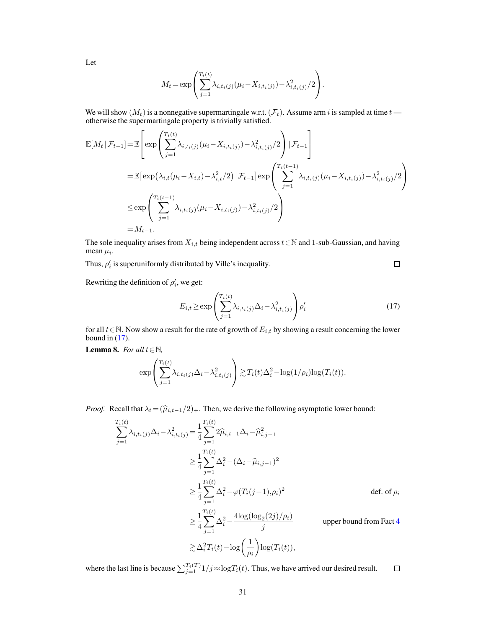Let

$$
M_{t} = \exp \left( \sum_{j=1}^{T_{i}(t)} \lambda_{i,t_{i}(j)} (\mu_{i} - X_{i,t_{i}(j)}) - \lambda_{i,t_{i}(j)}^{2} / 2 \right).
$$

We will show  $(M_t)$  is a nonnegative supermartingale w.r.t.  $(\mathcal{F}_t)$ . Assume arm *i* is sampled at time  $t$  otherwise the supermartingale property is trivially satisfied.

$$
\mathbb{E}[M_t | \mathcal{F}_{t-1}] = \mathbb{E}\left[\exp\left(\sum_{j=1}^{T_i(t)} \lambda_{i,t_i(j)}(\mu_i - X_{i,t_i(j)}) - \lambda_{i,t_i(j)}^2/2\right) | \mathcal{F}_{t-1}\right]
$$
\n
$$
= \mathbb{E}\left[\exp\left(\lambda_{i,t}(\mu_i - X_{i,t}) - \lambda_{i,t}^2/2\right) | \mathcal{F}_{t-1}\right] \exp\left(\sum_{j=1}^{T_i(t-1)} \lambda_{i,t_i(j)}(\mu_i - X_{i,t_i(j)}) - \lambda_{i,t_i(j)}^2/2\right)
$$
\n
$$
\leq \exp\left(\sum_{j=1}^{T_i(t-1)} \lambda_{i,t_i(j)}(\mu_i - X_{i,t_i(j)}) - \lambda_{i,t_i(j)}^2/2\right)
$$
\n
$$
= M_{t-1}.
$$

The sole inequality arises from  $X_{i,t}$  being independent across  $t \in \mathbb{N}$  and 1-sub-Gaussian, and having mean  $\mu_i$ .

Thus,  $\rho_i'$  is superuniformly distributed by Ville's inequality.

<span id="page-17-0"></span> $\Box$ 

Rewriting the definition of  $\rho'_i$ , we get:

$$
E_{i,t} \ge \exp\left(\sum_{j=1}^{T_i(t)} \lambda_{i,t_i(j)} \Delta_i - \lambda_{i,t_i(j)}^2\right) \rho'_i
$$
\n(17)

for all  $t \in \mathbb{N}$ . Now show a result for the rate of growth of  $E_{i,t}$  by showing a result concerning the lower bound in  $(17)$ .

<span id="page-17-1"></span>Lemma 8. *For all*  $t \in \mathbb{N}$ *,* 

$$
\exp\left(\sum_{j=1}^{T_i(t)}\lambda_{i,t_i(j)}\Delta_i-\lambda_{i,t_i(j)}^2\right)\gtrsim T_i(t)\Delta_i^2-\log(1/\rho_i)\log(T_i(t)).
$$

*Proof.* Recall that  $\lambda_t = (\hat{\mu}_{i,t-1}/2)_+$ . Then, we derive the following asymptotic lower bound:

$$
\sum_{j=1}^{T_i(t)} \lambda_{i,t_i(j)} \Delta_i - \lambda_{i,t_i(j)}^2 = \frac{1}{4} \sum_{j=1}^{T_i(t)} 2\hat{\mu}_{i,t-1} \Delta_i - \hat{\mu}_{i,j-1}^2
$$
\n
$$
\geq \frac{1}{4} \sum_{j=1}^{T_i(t)} \Delta_i^2 - (\Delta_i - \hat{\mu}_{i,j-1})^2
$$
\n
$$
\geq \frac{1}{4} \sum_{j=1}^{T_i(t)} \Delta_i^2 - \varphi(T_i(j-1), \rho_i)^2
$$
\n
$$
\geq \frac{1}{4} \sum_{j=1}^{T_i(t)} \Delta_i^2 - \frac{4 \log(\log_2(2j)/\rho_i)}{j}
$$
\nupper bound from Fact 4\n
$$
\geq \Delta_i^2 T_i(t) - \log\left(\frac{1}{\rho_i}\right) \log(T_i(t)),
$$

where the last line is because  $\sum_{j=1}^{T_i(T)} 1/j \approx \log T_i(t)$ . Thus, we have arrived our desired result.  $\Box$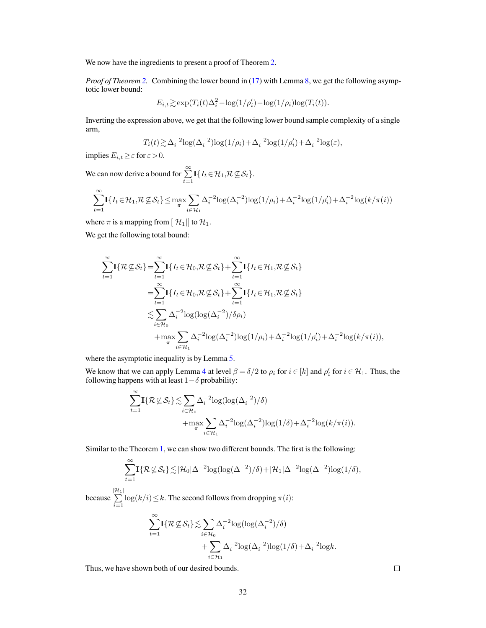We now have the ingredients to present a proof of Theorem [2.](#page-16-1)

*Proof of Theorem [2.](#page-16-1)* Combining the lower bound in [\(17\)](#page-17-0) with Lemma [8,](#page-17-1) we get the following asymptotic lower bound:

$$
E_{i,t} \gtrsim \exp(T_i(t)\Delta_i^2 - \log(1/\rho_i') - \log(1/\rho_i)\log(T_i(t)).
$$

Inverting the expression above, we get that the following lower bound sample complexity of a single arm,

$$
T_i(t) \gtrsim \Delta_i^{-2} \log(\Delta_i^{-2}) \log(1/\rho_i) + \Delta_i^{-2} \log(1/\rho_i') + \Delta_i^{-2} \log(\varepsilon),
$$

implies  $E_{i,t} \geq \varepsilon$  for  $\varepsilon > 0$ .

We can now derive a bound for  $\sum_{t=1}^{\infty} \mathbf{I} \{I_t \in \mathcal{H}_1, \mathcal{R} \not\subseteq \mathcal{S}_t\}.$ 

$$
\sum_{t=1}^{\infty} \mathbf{I}\{I_t \in \mathcal{H}_1, \mathcal{R} \nsubseteq \mathcal{S}_t\} \le \max_{\pi} \sum_{i \in \mathcal{H}_1} \Delta_i^{-2} \log(\Delta_i^{-2}) \log(1/\rho_i) + \Delta_i^{-2} \log(1/\rho_i') + \Delta_i^{-2} \log(k/\pi(i))
$$

where  $\pi$  is a mapping from  $[|\mathcal{H}_1|]$  to  $\mathcal{H}_1$ .

We get the following total bound:

$$
\sum_{t=1}^{\infty} \mathbf{I}\{\mathcal{R}\mathcal{L}\mathcal{S}_t\} = \sum_{t=1}^{\infty} \mathbf{I}\{I_t \in \mathcal{H}_0, \mathcal{R}\mathcal{L}\mathcal{S}_t\} + \sum_{t=1}^{\infty} \mathbf{I}\{I_t \in \mathcal{H}_1, \mathcal{R}\mathcal{L}\mathcal{S}_t\}
$$
\n
$$
= \sum_{t=1}^{\infty} \mathbf{I}\{I_t \in \mathcal{H}_0, \mathcal{R}\mathcal{L}\mathcal{S}_t\} + \sum_{t=1}^{\infty} \mathbf{I}\{I_t \in \mathcal{H}_1, \mathcal{R}\mathcal{L}\mathcal{S}_t\}
$$
\n
$$
\lesssim \sum_{i \in \mathcal{H}_0} \Delta_i^{-2} \log(\log(\Delta_i^{-2})/\delta \rho_i)
$$
\n
$$
+ \max_{\pi} \sum_{i \in \mathcal{H}_1} \Delta_i^{-2} \log(\Delta_i^{-2}) \log(1/\rho_i) + \Delta_i^{-2} \log(1/\rho_i') + \Delta_i^{-2} \log(k/\pi(i)),
$$

where the asymptotic inequality is by Lemma [5.](#page-3-1)

We know that we can apply Lemma [4](#page-3-3) at level  $\beta = \delta/2$  to  $\rho_i$  for  $i \in [k]$  and  $\rho'_i$  for  $i \in \mathcal{H}_1$ . Thus, the following happens with at least  $1-\delta$  probability:

$$
\sum_{t=1}^{\infty} \mathbf{I}\{\mathcal{R}\mathcal{L}\mathcal{S}_t\} \lesssim \sum_{i \in \mathcal{H}_0} \Delta_i^{-2} \log(\log(\Delta_i^{-2})/\delta) + \max_{\pi} \sum_{i \in \mathcal{H}_1} \Delta_i^{-2} \log(\Delta_i^{-2}) \log(1/\delta) + \Delta_i^{-2} \log(k/\pi(i)).
$$

Similar to the Theorem [1,](#page--1-14) we can show two different bounds. The first is the following:

$$
\sum_{t=1}^{\infty} \mathbf{I}\{\mathcal{R}\mathcal{L}\mathcal{S}_t\} \lesssim |\mathcal{H}_0| \Delta^{-2} \log(\log(\Delta^{-2})/\delta) + |\mathcal{H}_1| \Delta^{-2} \log(\Delta^{-2}) \log(1/\delta),
$$

because  $\sum_{i=1}^{|\mathcal{H}_1|}$  $\sum_{i=1} \log(k/i) \leq k$ . The second follows from dropping  $\pi(i)$ :  $\sum_{\infty}^{\infty}$  $t=1$  $\mathbf{I}\{\mathcal{R}\mathcal{\not\subseteq }\mathcal{S}_t\}\!\lesssim\!\sum\limits\!$  $i\in\mathcal{H}_0$  $\Delta_i^{-2} \log(\log(\Delta_i^{-2})/\delta)$  $+\sum$  $\Delta_i^{-2} \log(\Delta_i^{-2}) \log(1/\delta) + \Delta_i^{-2} \log k.$ 

 $i \in \mathcal{H}_1$ 

Thus, we have shown both of our desired bounds.

 $\Box$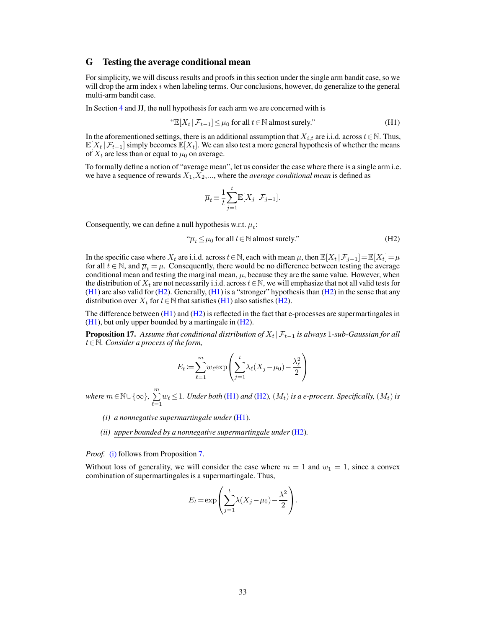### G Testing the average conditional mean

For simplicity, we will discuss results and proofs in this section under the single arm bandit case, so we will drop the arm index  $i$  when labeling terms. Our conclusions, however, do generalize to the general multi-arm bandit case.

In Section [4](#page--1-44) and JJ, the null hypothesis for each arm we are concerned with is

"
$$
\mathbb{E}[X_t | \mathcal{F}_{t-1}] \leq \mu_0
$$
 for all  $t \in \mathbb{N}$  almost surely." 
$$
(H1)
$$

In the aforementioned settings, there is an additional assumption that  $X_{i,t}$  are i.i.d. across  $t \in \mathbb{N}$ . Thus,  $\mathbb{E}[X_t | \mathcal{F}_{t-1}]$  simply becomes  $\mathbb{E}[X_t]$ . We can also test a more general hypothesis of whether the means of  $X_t$  are less than or equal to  $\mu_0$  on average.

To formally define a notion of "average mean", let us consider the case where there is a single arm i.e. we have a sequence of rewards  $X_1, X_2, \ldots$ , where the *average conditional mean* is defined as

<span id="page-19-1"></span><span id="page-19-0"></span>
$$
\overline{\mu}_t \equiv \frac{1}{t} \sum_{j=1}^t \mathbb{E}[X_j | \mathcal{F}_{j-1}].
$$

Consequently, we can define a null hypothesis w.r.t.  $\overline{\mu}_t$ :

$$
\mathcal{T}_t \le \mu_0 \text{ for all } t \in \mathbb{N} \text{ almost surely."} \tag{H2}
$$

In the specific case where  $X_t$  are i.i.d. across  $t \in \mathbb{N}$ , each with mean  $\mu$ , then  $\mathbb{E}[X_t | \mathcal{F}_{j-1}] = \mathbb{E}[X_t] = \mu$ for all  $t \in \mathbb{N}$ , and  $\overline{\mu}_t = \mu$ . Consequently, there would be no difference between testing the average conditional mean and testing the marginal mean,  $\mu$ , because they are the same value. However, when the distribution of  $X_t$  are not necessarily i.i.d. across  $t \in \mathbb{N}$ , we will emphasize that not all valid tests for  $(H1)$  are also valid for  $(H2)$ . Generally,  $(H1)$  is a "stronger" hypothesis than  $(H2)$  in the sense that any distribution over  $X_t$  for  $t \in \mathbb{N}$  that satisfies [\(H1\)](#page-19-0) also satisfies [\(H2\)](#page-19-1).

The difference between  $(H1)$  and  $(H2)$  is reflected in the fact that e-processes are supermartingales in  $(H1)$ , but only upper bounded by a martingale in  $(H2)$ .

**Proposition 17.** Assume that conditional distribution of  $X_t | \mathcal{F}_{t-1}$  is always 1-sub-Gaussian for all ∈N*. Consider a process of the form,*

$$
E_t := \sum_{\ell=1}^m w_\ell \exp\left(\sum_{j=1}^t \lambda_\ell (X_j - \mu_0) - \frac{\lambda_\ell^2}{2}\right)
$$

 $where m \in \mathbb{N} \cup \{\infty\}, \; \sum^{m}$  $\sum_{\ell=1} w_{\ell} \leq 1$ *. Under both* [\(H1\)](#page-19-0) *and* [\(H2\)](#page-19-1)*,* ( $M_t$ ) *is a e-process. Specifically,* ( $M_t$ ) *is* 

- <span id="page-19-2"></span>*(i) a nonnegative supermartingale under* [\(H1\)](#page-19-0)*.*
- <span id="page-19-3"></span>*(ii) upper bounded by a nonnegative supermartingale under* [\(H2\)](#page-19-1)*.*

*Proof.* [\(i\)](#page-19-2) follows from Proposition [7.](#page-2-0)

Without loss of generality, we will consider the case where  $m = 1$  and  $w_1 = 1$ , since a convex combination of supermartingales is a supermartingale. Thus,

$$
E_t = \exp\left(\sum_{j=1}^t \lambda(X_j - \mu_0) - \frac{\lambda^2}{2}\right).
$$